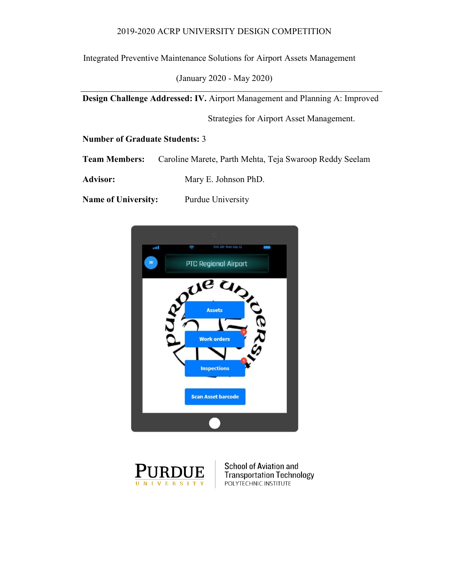### 2019-2020 ACRP UNIVERSITY DESIGN COMPETITION

Integrated Preventive Maintenance Solutions for Airport Assets Management

(January 2020 - May 2020)

**Design Challenge Addressed: IV.** Airport Management and Planning A: Improved

Strategies for Airport Asset Management.

**Number of Graduate Students:** 3

**Team Members:** Caroline Marete, Parth Mehta, Teja Swaroop Reddy Seelam

Advisor: Mary E. Johnson PhD.

**Name of University:** Purdue University





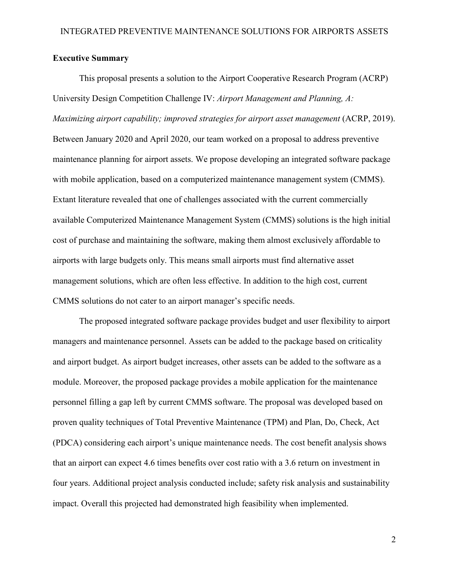### <span id="page-1-0"></span>**Executive Summary**

This proposal presents a solution to the Airport Cooperative Research Program (ACRP) University Design Competition Challenge IV: *Airport Management and Planning, A: Maximizing airport capability; improved strategies for airport asset management* (ACRP, 2019). Between January 2020 and April 2020, our team worked on a proposal to address preventive maintenance planning for airport assets. We propose developing an integrated software package with mobile application, based on a computerized maintenance management system (CMMS). Extant literature revealed that one of challenges associated with the current commercially available Computerized Maintenance Management System (CMMS) solutions is the high initial cost of purchase and maintaining the software, making them almost exclusively affordable to airports with large budgets only. This means small airports must find alternative asset management solutions, which are often less effective. In addition to the high cost, current CMMS solutions do not cater to an airport manager's specific needs.

The proposed integrated software package provides budget and user flexibility to airport managers and maintenance personnel. Assets can be added to the package based on criticality and airport budget. As airport budget increases, other assets can be added to the software as a module. Moreover, the proposed package provides a mobile application for the maintenance personnel filling a gap left by current CMMS software. The proposal was developed based on proven quality techniques of Total Preventive Maintenance (TPM) and Plan, Do, Check, Act (PDCA) considering each airport's unique maintenance needs. The cost benefit analysis shows that an airport can expect 4.6 times benefits over cost ratio with a 3.6 return on investment in four years. Additional project analysis conducted include; safety risk analysis and sustainability impact. Overall this projected had demonstrated high feasibility when implemented.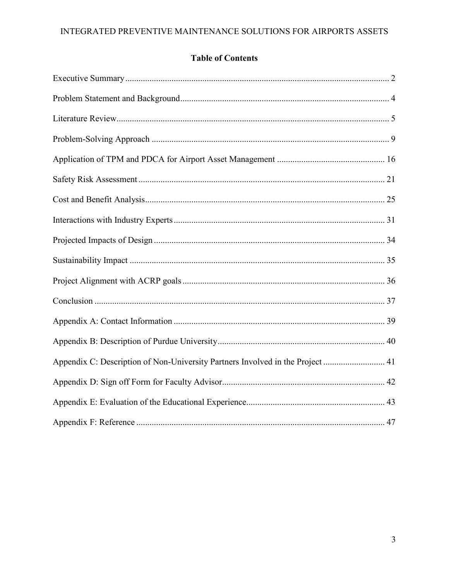# **Table of Contents**

<span id="page-2-0"></span>

| Appendix C: Description of Non-University Partners Involved in the Project  41 |
|--------------------------------------------------------------------------------|
|                                                                                |
|                                                                                |
|                                                                                |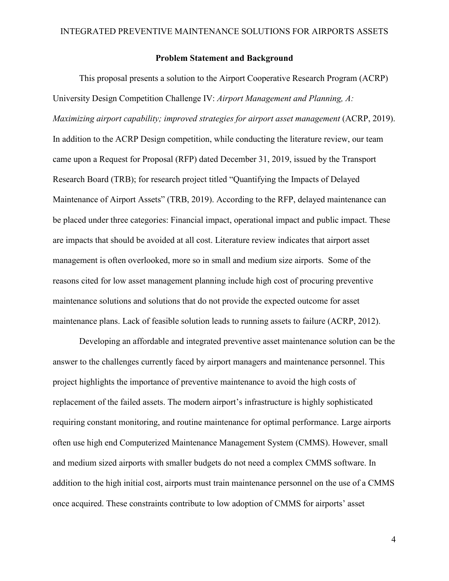### **Problem Statement and Background**

This proposal presents a solution to the Airport Cooperative Research Program (ACRP) University Design Competition Challenge IV: *Airport Management and Planning, A: Maximizing airport capability; improved strategies for airport asset management* (ACRP, 2019). In addition to the ACRP Design competition, while conducting the literature review, our team came upon a Request for Proposal (RFP) dated December 31, 2019, issued by the Transport Research Board (TRB); for research project titled "Quantifying the Impacts of Delayed Maintenance of Airport Assets" (TRB, 2019). According to the RFP, delayed maintenance can be placed under three categories: Financial impact, operational impact and public impact. These are impacts that should be avoided at all cost. Literature review indicates that airport asset management is often overlooked, more so in small and medium size airports. Some of the reasons cited for low asset management planning include high cost of procuring preventive maintenance solutions and solutions that do not provide the expected outcome for asset maintenance plans. Lack of feasible solution leads to running assets to failure (ACRP, 2012).

Developing an affordable and integrated preventive asset maintenance solution can be the answer to the challenges currently faced by airport managers and maintenance personnel. This project highlights the importance of preventive maintenance to avoid the high costs of replacement of the failed assets. The modern airport's infrastructure is highly sophisticated requiring constant monitoring, and routine maintenance for optimal performance. Large airports often use high end Computerized Maintenance Management System (CMMS). However, small and medium sized airports with smaller budgets do not need a complex CMMS software. In addition to the high initial cost, airports must train maintenance personnel on the use of a CMMS once acquired. These constraints contribute to low adoption of CMMS for airports' asset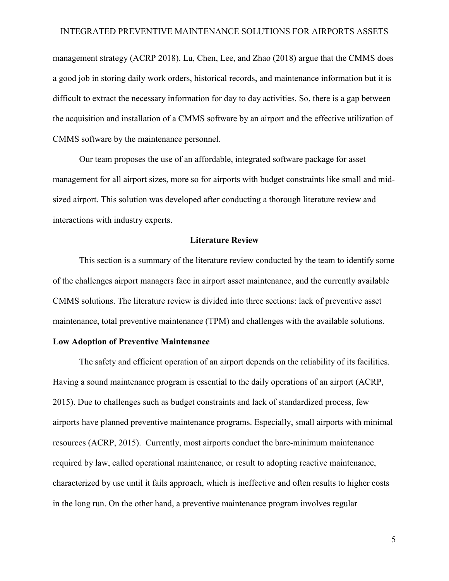management strategy (ACRP 2018). Lu, Chen, Lee, and Zhao (2018) argue that the CMMS does a good job in storing daily work orders, historical records, and maintenance information but it is difficult to extract the necessary information for day to day activities. So, there is a gap between the acquisition and installation of a CMMS software by an airport and the effective utilization of CMMS software by the maintenance personnel.

Our team proposes the use of an affordable, integrated software package for asset management for all airport sizes, more so for airports with budget constraints like small and midsized airport. This solution was developed after conducting a thorough literature review and interactions with industry experts.

### **Literature Review**

<span id="page-4-0"></span>This section is a summary of the literature review conducted by the team to identify some of the challenges airport managers face in airport asset maintenance, and the currently available CMMS solutions. The literature review is divided into three sections: lack of preventive asset maintenance, total preventive maintenance (TPM) and challenges with the available solutions.

#### **Low Adoption of Preventive Maintenance**

The safety and efficient operation of an airport depends on the reliability of its facilities. Having a sound maintenance program is essential to the daily operations of an airport (ACRP, 2015). Due to challenges such as budget constraints and lack of standardized process, few airports have planned preventive maintenance programs. Especially, small airports with minimal resources (ACRP, 2015). Currently, most airports conduct the bare-minimum maintenance required by law, called operational maintenance, or result to adopting reactive maintenance, characterized by use until it fails approach, which is ineffective and often results to higher costs in the long run. On the other hand, a preventive maintenance program involves regular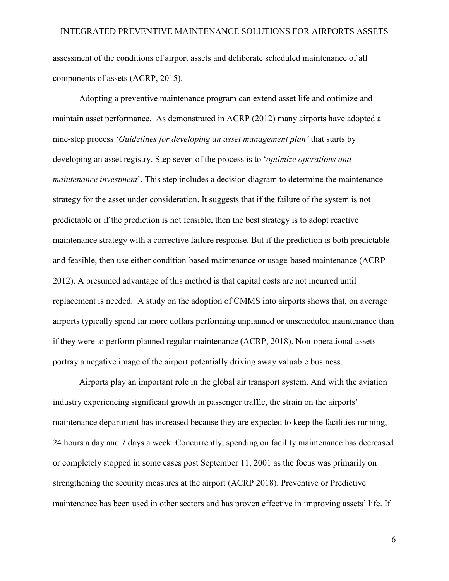assessment of the conditions of airport assets and deliberate scheduled maintenance of all components of assets (ACRP, 2015).

Adopting a preventive maintenance program can extend asset life and optimize and maintain asset performance. As demonstrated in ACRP (2012) many airports have adopted a nine-step process '*Guidelines for developing an asset management plan'* that starts by developing an asset registry. Step seven of the process is to '*optimize operations and maintenance investment*'. This step includes a decision diagram to determine the maintenance strategy for the asset under consideration. It suggests that if the failure of the system is not predictable or if the prediction is not feasible, then the best strategy is to adopt reactive maintenance strategy with a corrective failure response. But if the prediction is both predictable and feasible, then use either condition-based maintenance or usage-based maintenance (ACRP 2012). A presumed advantage of this method is that capital costs are not incurred until replacement is needed. A study on the adoption of CMMS into airports shows that, on average airports typically spend far more dollars performing unplanned or unscheduled maintenance than if they were to perform planned regular maintenance (ACRP, 2018). Non-operational assets portray a negative image of the airport potentially driving away valuable business.

Airports play an important role in the global air transport system. And with the aviation industry experiencing significant growth in passenger traffic, the strain on the airports' maintenance department has increased because they are expected to keep the facilities running, 24 hours a day and 7 days a week. Concurrently, spending on facility maintenance has decreased or completely stopped in some cases post September 11, 2001 as the focus was primarily on strengthening the security measures at the airport (ACRP 2018). Preventive or Predictive maintenance has been used in other sectors and has proven effective in improving assets' life. If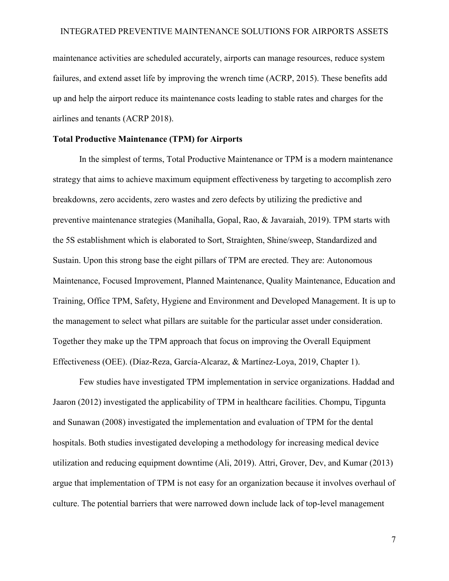maintenance activities are scheduled accurately, airports can manage resources, reduce system failures, and extend asset life by improving the wrench time (ACRP, 2015). These benefits add up and help the airport reduce its maintenance costs leading to stable rates and charges for the airlines and tenants (ACRP 2018).

### **Total Productive Maintenance (TPM) for Airports**

In the simplest of terms, Total Productive Maintenance or TPM is a modern maintenance strategy that aims to achieve maximum equipment effectiveness by targeting to accomplish zero breakdowns, zero accidents, zero wastes and zero defects by utilizing the predictive and preventive maintenance strategies (Manihalla, Gopal, Rao, & Javaraiah, 2019). TPM starts with the 5S establishment which is elaborated to Sort, Straighten, Shine/sweep, Standardized and Sustain. Upon this strong base the eight pillars of TPM are erected. They are: Autonomous Maintenance, Focused Improvement, Planned Maintenance, Quality Maintenance, Education and Training, Office TPM, Safety, Hygiene and Environment and Developed Management. It is up to the management to select what pillars are suitable for the particular asset under consideration. Together they make up the TPM approach that focus on improving the Overall Equipment Effectiveness (OEE). (Díaz-Reza, García-Alcaraz, & Martínez-Loya, 2019, Chapter 1).

Few studies have investigated TPM implementation in service organizations. Haddad and Jaaron (2012) investigated the applicability of TPM in healthcare facilities. Chompu, Tipgunta and Sunawan (2008) investigated the implementation and evaluation of TPM for the dental hospitals. Both studies investigated developing a methodology for increasing medical device utilization and reducing equipment downtime (Ali, 2019). Attri, Grover, Dev, and Kumar (2013) argue that implementation of TPM is not easy for an organization because it involves overhaul of culture. The potential barriers that were narrowed down include lack of top-level management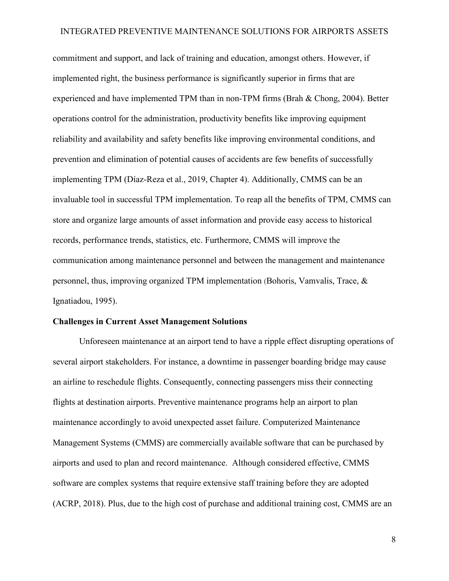commitment and support, and lack of training and education, amongst others. However, if implemented right, the business performance is significantly superior in firms that are experienced and have implemented TPM than in non-TPM firms (Brah & Chong, 2004). Better operations control for the administration, productivity benefits like improving equipment reliability and availability and safety benefits like improving environmental conditions, and prevention and elimination of potential causes of accidents are few benefits of successfully implementing TPM (Díaz-Reza et al., 2019, Chapter 4). Additionally, CMMS can be an invaluable tool in successful TPM implementation. To reap all the benefits of TPM, CMMS can store and organize large amounts of asset information and provide easy access to historical records, performance trends, statistics, etc. Furthermore, CMMS will improve the communication among maintenance personnel and between the management and maintenance personnel, thus, improving organized TPM implementation (Bohoris, Vamvalis, Trace, & Ignatiadou, 1995).

#### **Challenges in Current Asset Management Solutions**

Unforeseen maintenance at an airport tend to have a ripple effect disrupting operations of several airport stakeholders. For instance, a downtime in passenger boarding bridge may cause an airline to reschedule flights. Consequently, connecting passengers miss their connecting flights at destination airports. Preventive maintenance programs help an airport to plan maintenance accordingly to avoid unexpected asset failure. Computerized Maintenance Management Systems (CMMS) are commercially available software that can be purchased by airports and used to plan and record maintenance. Although considered effective, CMMS software are complex systems that require extensive staff training before they are adopted (ACRP, 2018). Plus, due to the high cost of purchase and additional training cost, CMMS are an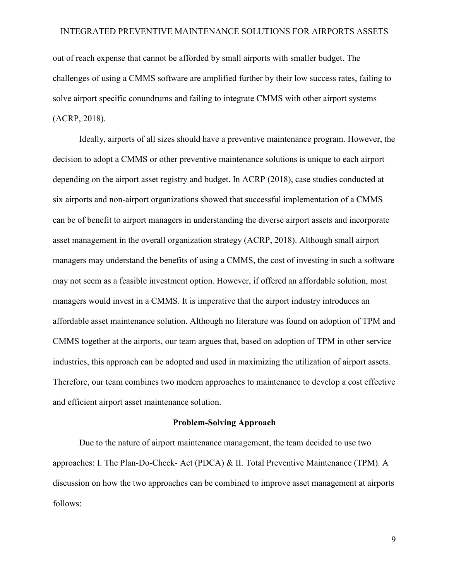out of reach expense that cannot be afforded by small airports with smaller budget. The challenges of using a CMMS software are amplified further by their low success rates, failing to solve airport specific conundrums and failing to integrate CMMS with other airport systems (ACRP, 2018).

Ideally, airports of all sizes should have a preventive maintenance program. However, the decision to adopt a CMMS or other preventive maintenance solutions is unique to each airport depending on the airport asset registry and budget. In ACRP (2018), case studies conducted at six airports and non-airport organizations showed that successful implementation of a CMMS can be of benefit to airport managers in understanding the diverse airport assets and incorporate asset management in the overall organization strategy (ACRP, 2018). Although small airport managers may understand the benefits of using a CMMS, the cost of investing in such a software may not seem as a feasible investment option. However, if offered an affordable solution, most managers would invest in a CMMS. It is imperative that the airport industry introduces an affordable asset maintenance solution. Although no literature was found on adoption of TPM and CMMS together at the airports, our team argues that, based on adoption of TPM in other service industries, this approach can be adopted and used in maximizing the utilization of airport assets. Therefore, our team combines two modern approaches to maintenance to develop a cost effective and efficient airport asset maintenance solution.

#### **Problem-Solving Approach**

<span id="page-8-0"></span>Due to the nature of airport maintenance management, the team decided to use two approaches: I. The Plan-Do-Check- Act (PDCA) & II. Total Preventive Maintenance (TPM). A discussion on how the two approaches can be combined to improve asset management at airports follows: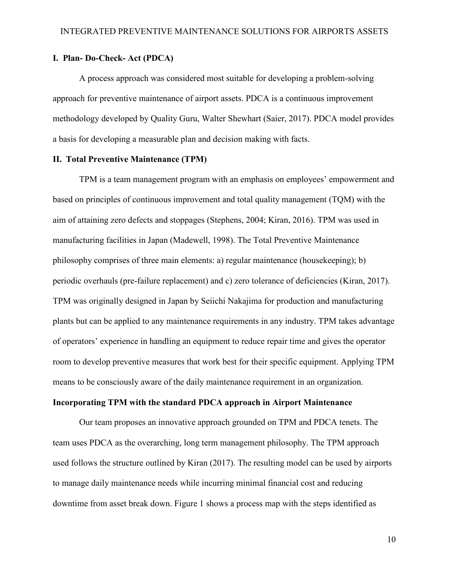### **I. Plan- Do-Check- Act (PDCA)**

A process approach was considered most suitable for developing a problem-solving approach for preventive maintenance of airport assets. PDCA is a continuous improvement methodology developed by Quality Guru, Walter Shewhart (Saier, 2017). PDCA model provides a basis for developing a measurable plan and decision making with facts.

### **II. Total Preventive Maintenance (TPM)**

TPM is a team management program with an emphasis on employees' empowerment and based on principles of continuous improvement and total quality management (TQM) with the aim of attaining zero defects and stoppages (Stephens, 2004; Kiran, 2016). TPM was used in manufacturing facilities in Japan (Madewell, 1998). The Total Preventive Maintenance philosophy comprises of three main elements: a) regular maintenance (housekeeping); b) periodic overhauls (pre-failure replacement) and c) zero tolerance of deficiencies (Kiran, 2017). TPM was originally designed in Japan by Seiichi Nakajima for production and manufacturing plants but can be applied to any maintenance requirements in any industry. TPM takes advantage of operators' experience in handling an equipment to reduce repair time and gives the operator room to develop preventive measures that work best for their specific equipment. Applying TPM means to be consciously aware of the daily maintenance requirement in an organization.

### **Incorporating TPM with the standard PDCA approach in Airport Maintenance**

Our team proposes an innovative approach grounded on TPM and PDCA tenets. The team uses PDCA as the overarching, long term management philosophy. The TPM approach used follows the structure outlined by Kiran (2017). The resulting model can be used by airports to manage daily maintenance needs while incurring minimal financial cost and reducing downtime from asset break down. Figure 1 shows a process map with the steps identified as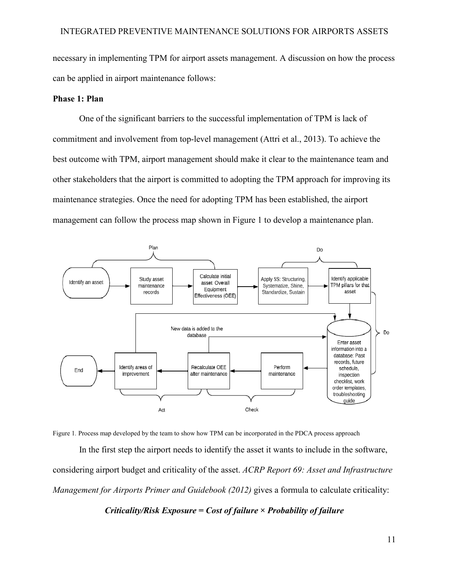necessary in implementing TPM for airport assets management. A discussion on how the process can be applied in airport maintenance follows:

### **Phase 1: Plan**

One of the significant barriers to the successful implementation of TPM is lack of commitment and involvement from top-level management (Attri et al., 2013). To achieve the best outcome with TPM, airport management should make it clear to the maintenance team and other stakeholders that the airport is committed to adopting the TPM approach for improving its maintenance strategies. Once the need for adopting TPM has been established, the airport management can follow the process map shown in Figure 1 to develop a maintenance plan.



Figure 1. Process map developed by the team to show how TPM can be incorporated in the PDCA process approach

In the first step the airport needs to identify the asset it wants to include in the software, considering airport budget and criticality of the asset. *ACRP Report 69: Asset and Infrastructure Management for Airports Primer and Guidebook (2012)* gives a formula to calculate criticality:

*Criticality/Risk Exposure = Cost of failure × Probability of failure*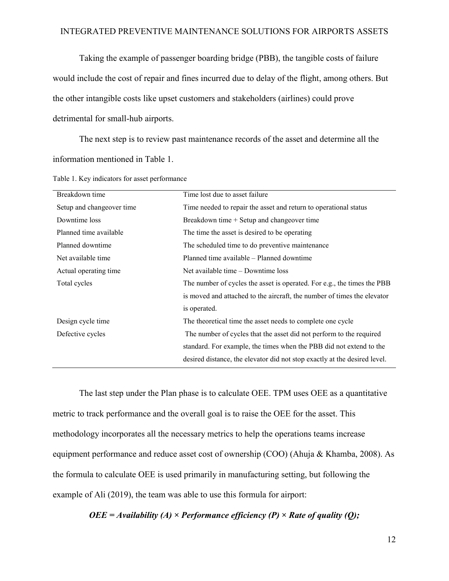Taking the example of passenger boarding bridge (PBB), the tangible costs of failure would include the cost of repair and fines incurred due to delay of the flight, among others. But the other intangible costs like upset customers and stakeholders (airlines) could prove detrimental for small-hub airports.

The next step is to review past maintenance records of the asset and determine all the information mentioned in Table 1.

| Breakdown time            | Time lost due to asset failure                                            |
|---------------------------|---------------------------------------------------------------------------|
| Setup and changeover time | Time needed to repair the asset and return to operational status          |
| Downtime loss             | Breakdown time + Setup and changeover time                                |
| Planned time available    | The time the asset is desired to be operating                             |
| Planned downtime          | The scheduled time to do preventive maintenance                           |
| Net available time        | Planned time available – Planned downtime                                 |
| Actual operating time     | Net available time – Downtime loss                                        |
| Total cycles              | The number of cycles the asset is operated. For e.g., the times the PBB   |
|                           | is moved and attached to the aircraft, the number of times the elevator   |
|                           | is operated.                                                              |
| Design cycle time         | The theoretical time the asset needs to complete one cycle                |
| Defective cycles          | The number of cycles that the asset did not perform to the required       |
|                           | standard. For example, the times when the PBB did not extend to the       |
|                           | desired distance, the elevator did not stop exactly at the desired level. |

Table 1. Key indicators for asset performance

The last step under the Plan phase is to calculate OEE. TPM uses OEE as a quantitative metric to track performance and the overall goal is to raise the OEE for the asset. This methodology incorporates all the necessary metrics to help the operations teams increase equipment performance and reduce asset cost of ownership (COO) (Ahuja & Khamba, 2008). As the formula to calculate OEE is used primarily in manufacturing setting, but following the example of Ali (2019), the team was able to use this formula for airport:

*OEE = Availability (A) × Performance efficiency (P) × Rate of quality (Q);*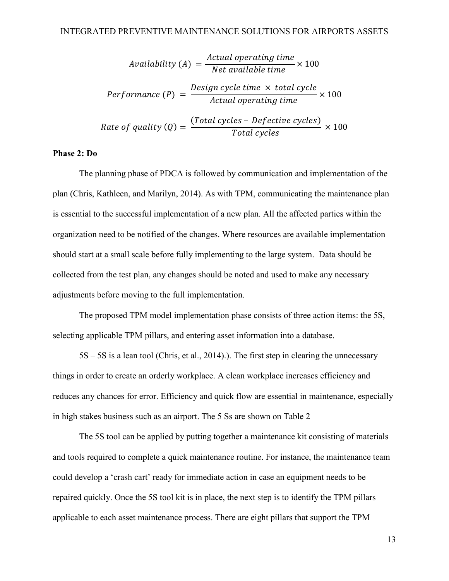Availability (A) = 
$$
\frac{Actual\ operating\ time}{Net\ available\ time} \times 100
$$

\nPerformance (P) = 
$$
\frac{Design\ cycle\ time}{Actual\ operating\ time} \times 100
$$

\nRate of quality (Q) = 
$$
\frac{(Total\ cycles - Defective\ cycles)}{Total\ cycles} \times 100
$$

### **Phase 2: Do**

The planning phase of PDCA is followed by communication and implementation of the plan (Chris, Kathleen, and Marilyn, 2014). As with TPM, communicating the maintenance plan is essential to the successful implementation of a new plan. All the affected parties within the organization need to be notified of the changes. Where resources are available implementation should start at a small scale before fully implementing to the large system. Data should be collected from the test plan, any changes should be noted and used to make any necessary adjustments before moving to the full implementation.

The proposed TPM model implementation phase consists of three action items: the 5S, selecting applicable TPM pillars, and entering asset information into a database.

5S – 5S is a lean tool (Chris, et al., 2014).). The first step in clearing the unnecessary things in order to create an orderly workplace. A clean workplace increases efficiency and reduces any chances for error. Efficiency and quick flow are essential in maintenance, especially in high stakes business such as an airport. The 5 Ss are shown on Table 2

The 5S tool can be applied by putting together a maintenance kit consisting of materials and tools required to complete a quick maintenance routine. For instance, the maintenance team could develop a 'crash cart' ready for immediate action in case an equipment needs to be repaired quickly. Once the 5S tool kit is in place, the next step is to identify the TPM pillars applicable to each asset maintenance process. There are eight pillars that support the TPM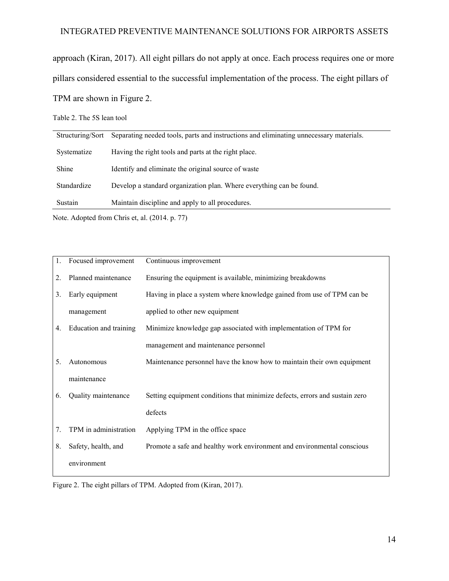approach (Kiran, 2017). All eight pillars do not apply at once. Each process requires one or more pillars considered essential to the successful implementation of the process. The eight pillars of TPM are shown in Figure 2.

Table 2. The 5S lean tool

| Structuring/Sort | Separating needed tools, parts and instructions and eliminating unnecessary materials. |
|------------------|----------------------------------------------------------------------------------------|
| Systematize      | Having the right tools and parts at the right place.                                   |
| Shine            | Identify and eliminate the original source of waste                                    |
| Standardize      | Develop a standard organization plan. Where everything can be found.                   |
| Sustain          | Maintain discipline and apply to all procedures.                                       |

Note. Adopted from Chris et, al. (2014. p. 77)

| 1. | Focused improvement    | Continuous improvement                                                      |
|----|------------------------|-----------------------------------------------------------------------------|
| 2. | Planned maintenance    | Ensuring the equipment is available, minimizing breakdowns                  |
| 3. | Early equipment        | Having in place a system where knowledge gained from use of TPM can be      |
|    | management             | applied to other new equipment                                              |
| 4. | Education and training | Minimize knowledge gap associated with implementation of TPM for            |
|    |                        | management and maintenance personnel                                        |
| 5. | Autonomous             | Maintenance personnel have the know how to maintain their own equipment     |
|    | maintenance            |                                                                             |
| 6. | Quality maintenance    | Setting equipment conditions that minimize defects, errors and sustain zero |
|    |                        | defects                                                                     |
| 7. | TPM in administration  | Applying TPM in the office space                                            |
| 8. | Safety, health, and    | Promote a safe and healthy work environment and environmental conscious     |
|    | environment            |                                                                             |

Figure 2. The eight pillars of TPM. Adopted from (Kiran, 2017).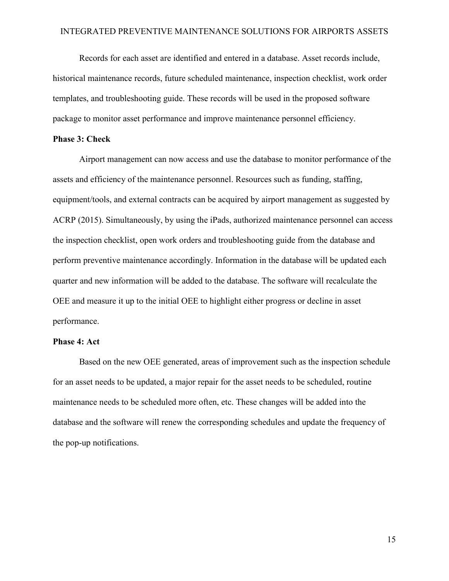Records for each asset are identified and entered in a database. Asset records include, historical maintenance records, future scheduled maintenance, inspection checklist, work order templates, and troubleshooting guide. These records will be used in the proposed software package to monitor asset performance and improve maintenance personnel efficiency.

### **Phase 3: Check**

Airport management can now access and use the database to monitor performance of the assets and efficiency of the maintenance personnel. Resources such as funding, staffing, equipment/tools, and external contracts can be acquired by airport management as suggested by ACRP (2015). Simultaneously, by using the iPads, authorized maintenance personnel can access the inspection checklist, open work orders and troubleshooting guide from the database and perform preventive maintenance accordingly. Information in the database will be updated each quarter and new information will be added to the database. The software will recalculate the OEE and measure it up to the initial OEE to highlight either progress or decline in asset performance.

#### **Phase 4: Act**

Based on the new OEE generated, areas of improvement such as the inspection schedule for an asset needs to be updated, a major repair for the asset needs to be scheduled, routine maintenance needs to be scheduled more often, etc. These changes will be added into the database and the software will renew the corresponding schedules and update the frequency of the pop-up notifications.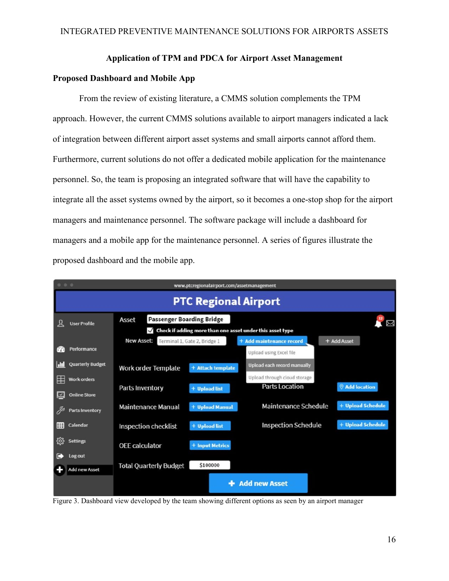### **Application of TPM and PDCA for Airport Asset Management**

### <span id="page-15-0"></span>**Proposed Dashboard and Mobile App**

From the review of existing literature, a CMMS solution complements the TPM approach. However, the current CMMS solutions available to airport managers indicated a lack of integration between different airport asset systems and small airports cannot afford them. Furthermore, current solutions do not offer a dedicated mobile application for the maintenance personnel. So, the team is proposing an integrated software that will have the capability to integrate all the asset systems owned by the airport, so it becomes a one-stop shop for the airport managers and maintenance personnel. The software package will include a dashboard for managers and a mobile app for the maintenance personnel. A series of figures illustrate the proposed dashboard and the mobile app.



Figure 3. Dashboard view developed by the team showing different options as seen by an airport manager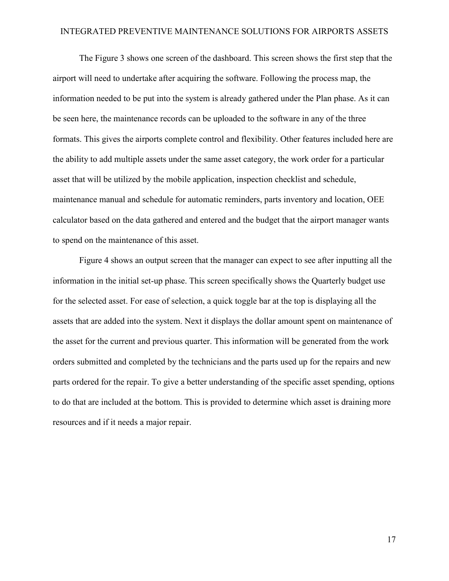The Figure 3 shows one screen of the dashboard. This screen shows the first step that the airport will need to undertake after acquiring the software. Following the process map, the information needed to be put into the system is already gathered under the Plan phase. As it can be seen here, the maintenance records can be uploaded to the software in any of the three formats. This gives the airports complete control and flexibility. Other features included here are the ability to add multiple assets under the same asset category, the work order for a particular asset that will be utilized by the mobile application, inspection checklist and schedule, maintenance manual and schedule for automatic reminders, parts inventory and location, OEE calculator based on the data gathered and entered and the budget that the airport manager wants to spend on the maintenance of this asset.

Figure 4 shows an output screen that the manager can expect to see after inputting all the information in the initial set-up phase. This screen specifically shows the Quarterly budget use for the selected asset. For ease of selection, a quick toggle bar at the top is displaying all the assets that are added into the system. Next it displays the dollar amount spent on maintenance of the asset for the current and previous quarter. This information will be generated from the work orders submitted and completed by the technicians and the parts used up for the repairs and new parts ordered for the repair. To give a better understanding of the specific asset spending, options to do that are included at the bottom. This is provided to determine which asset is draining more resources and if it needs a major repair.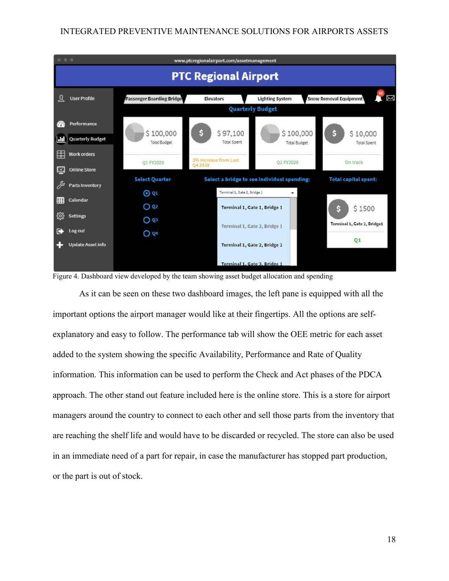

Figure 4. Dashboard view developed by the team showing asset budget allocation and spending

As it can be seen on these two dashboard images, the left pane is equipped with all the important options the airport manager would like at their fingertips. All the options are selfexplanatory and easy to follow. The performance tab will show the OEE metric for each asset added to the system showing the specific Availability, Performance and Rate of Quality information. This information can be used to perform the Check and Act phases of the PDCA approach. The other stand out feature included here is the online store. This is a store for airport managers around the country to connect to each other and sell those parts from the inventory that are reaching the shelf life and would have to be discarded or recycled. The store can also be used in an immediate need of a part for repair, in case the manufacturer has stopped part production, or the part is out of stock.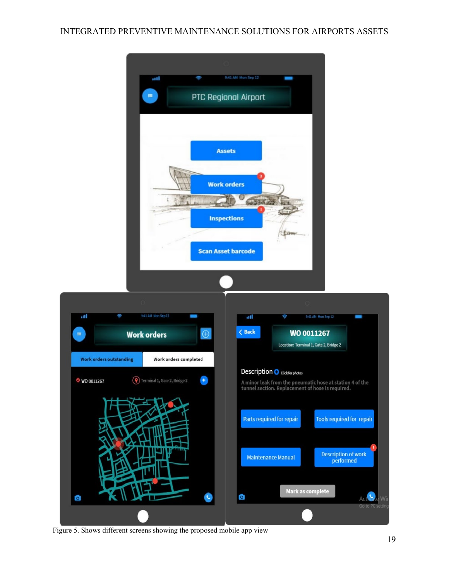

Figure 5. Shows different screens showing the proposed mobile app view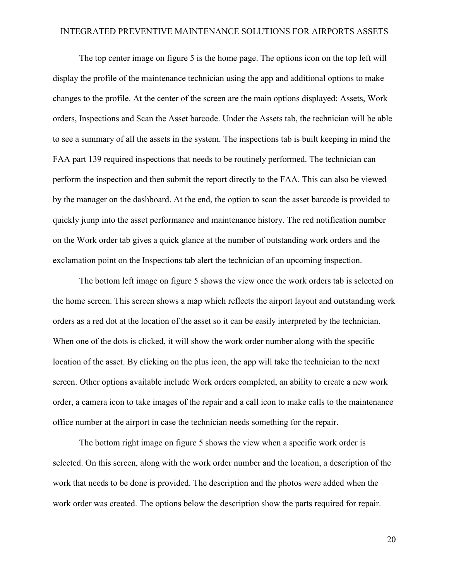The top center image on figure 5 is the home page. The options icon on the top left will display the profile of the maintenance technician using the app and additional options to make changes to the profile. At the center of the screen are the main options displayed: Assets, Work orders, Inspections and Scan the Asset barcode. Under the Assets tab, the technician will be able to see a summary of all the assets in the system. The inspections tab is built keeping in mind the FAA part 139 required inspections that needs to be routinely performed. The technician can perform the inspection and then submit the report directly to the FAA. This can also be viewed by the manager on the dashboard. At the end, the option to scan the asset barcode is provided to quickly jump into the asset performance and maintenance history. The red notification number on the Work order tab gives a quick glance at the number of outstanding work orders and the exclamation point on the Inspections tab alert the technician of an upcoming inspection.

The bottom left image on figure 5 shows the view once the work orders tab is selected on the home screen. This screen shows a map which reflects the airport layout and outstanding work orders as a red dot at the location of the asset so it can be easily interpreted by the technician. When one of the dots is clicked, it will show the work order number along with the specific location of the asset. By clicking on the plus icon, the app will take the technician to the next screen. Other options available include Work orders completed, an ability to create a new work order, a camera icon to take images of the repair and a call icon to make calls to the maintenance office number at the airport in case the technician needs something for the repair.

The bottom right image on figure 5 shows the view when a specific work order is selected. On this screen, along with the work order number and the location, a description of the work that needs to be done is provided. The description and the photos were added when the work order was created. The options below the description show the parts required for repair.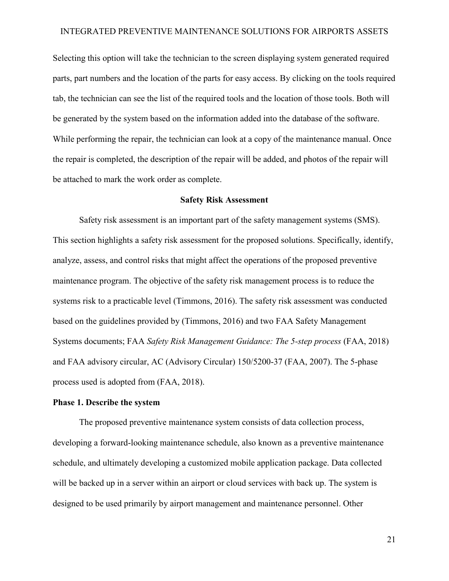Selecting this option will take the technician to the screen displaying system generated required parts, part numbers and the location of the parts for easy access. By clicking on the tools required tab, the technician can see the list of the required tools and the location of those tools. Both will be generated by the system based on the information added into the database of the software. While performing the repair, the technician can look at a copy of the maintenance manual. Once the repair is completed, the description of the repair will be added, and photos of the repair will be attached to mark the work order as complete.

### **Safety Risk Assessment**

<span id="page-20-0"></span>Safety risk assessment is an important part of the safety management systems (SMS). This section highlights a safety risk assessment for the proposed solutions. Specifically, identify, analyze, assess, and control risks that might affect the operations of the proposed preventive maintenance program. The objective of the safety risk management process is to reduce the systems risk to a practicable level (Timmons, 2016). The safety risk assessment was conducted based on the guidelines provided by (Timmons, 2016) and two FAA Safety Management Systems documents; FAA *Safety Risk Management Guidance: The 5-step process* (FAA, 2018) and FAA advisory circular, AC (Advisory Circular) 150/5200-37 (FAA, 2007). The 5-phase process used is adopted from (FAA, 2018).

#### **Phase 1. Describe the system**

The proposed preventive maintenance system consists of data collection process, developing a forward-looking maintenance schedule, also known as a preventive maintenance schedule, and ultimately developing a customized mobile application package. Data collected will be backed up in a server within an airport or cloud services with back up. The system is designed to be used primarily by airport management and maintenance personnel. Other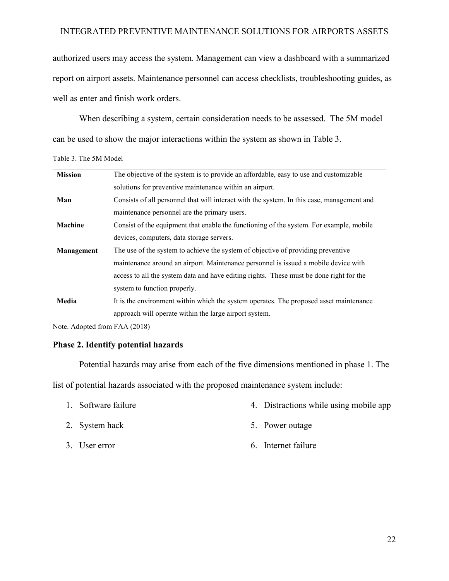authorized users may access the system. Management can view a dashboard with a summarized report on airport assets. Maintenance personnel can access checklists, troubleshooting guides, as well as enter and finish work orders.

When describing a system, certain consideration needs to be assessed. The 5M model can be used to show the major interactions within the system as shown in Table 3.

Table 3. The 5M Model

| <b>Mission</b> | The objective of the system is to provide an affordable, easy to use and customizable      |
|----------------|--------------------------------------------------------------------------------------------|
|                | solutions for preventive maintenance within an airport.                                    |
| Man            | Consists of all personnel that will interact with the system. In this case, management and |
|                | maintenance personnel are the primary users.                                               |
| <b>Machine</b> | Consist of the equipment that enable the functioning of the system. For example, mobile    |
|                | devices, computers, data storage servers.                                                  |
| Management     | The use of the system to achieve the system of objective of providing preventive           |
|                | maintenance around an airport. Maintenance personnel is issued a mobile device with        |
|                | access to all the system data and have editing rights. These must be done right for the    |
|                | system to function properly.                                                               |
| Media          | It is the environment within which the system operates. The proposed asset maintenance     |
|                | approach will operate within the large airport system.                                     |
|                |                                                                                            |

Note. Adopted from FAA (2018)

### **Phase 2. Identify potential hazards**

Potential hazards may arise from each of the five dimensions mentioned in phase 1. The

list of potential hazards associated with the proposed maintenance system include:

- 1. Software failure
- 2. System hack
- 3. User error
- 4. Distractions while using mobile app
- 5. Power outage
- 6. Internet failure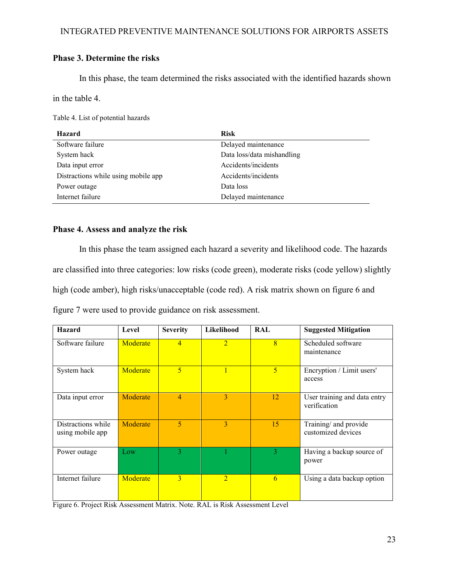### **Phase 3. Determine the risks**

In this phase, the team determined the risks associated with the identified hazards shown

in the table 4.

Table 4. List of potential hazards

| Hazard                              | <b>Risk</b>                |
|-------------------------------------|----------------------------|
| Software failure                    | Delayed maintenance        |
| System hack                         | Data loss/data mishandling |
| Data input error                    | Accidents/incidents        |
| Distractions while using mobile app | Accidents/incidents        |
| Power outage                        | Data loss                  |
| Internet failure                    | Delayed maintenance        |

### **Phase 4. Assess and analyze the risk**

In this phase the team assigned each hazard a severity and likelihood code. The hazards are classified into three categories: low risks (code green), moderate risks (code yellow) slightly high (code amber), high risks/unacceptable (code red). A risk matrix shown on figure 6 and figure 7 were used to provide guidance on risk assessment.

| <b>Hazard</b>                          | Level    | <b>Severity</b> | Likelihood     | <b>RAL</b>     | <b>Suggested Mitigation</b>                  |
|----------------------------------------|----------|-----------------|----------------|----------------|----------------------------------------------|
| Software failure                       | Moderate | $\overline{4}$  | $\overline{2}$ | $\overline{8}$ | Scheduled software<br>maintenance            |
| System hack                            | Moderate | 5               | 1              | $\overline{5}$ | Encryption / Limit users'<br>access          |
| Data input error                       | Moderate | 4               | 3              | 12             | User training and data entry<br>verification |
| Distractions while<br>using mobile app | Moderate | 5               | 3              | 15             | Training/ and provide<br>customized devices  |
| Power outage                           | Low      | 3               |                | 3              | Having a backup source of<br>power           |
| Internet failure                       | Moderate | 3               | $\overline{2}$ | 6              | Using a data backup option                   |

Figure 6. Project Risk Assessment Matrix. Note. RAL is Risk Assessment Level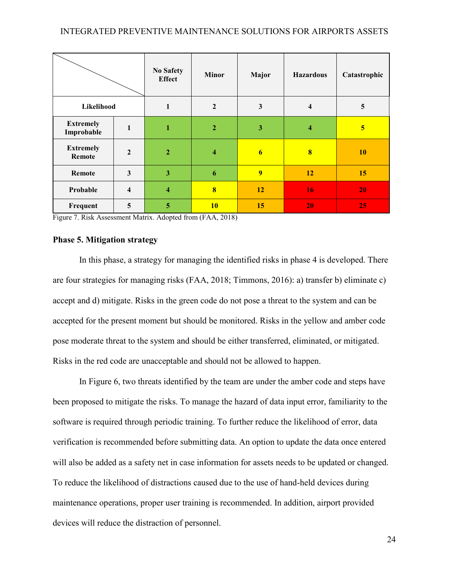|                                |                         | <b>No Safety</b><br><b>Effect</b> | <b>Minor</b>            | Major          | <b>Hazardous</b> | Catastrophic |
|--------------------------------|-------------------------|-----------------------------------|-------------------------|----------------|------------------|--------------|
| Likelihood                     |                         | 1                                 | $\boldsymbol{2}$        | 3              | 4                | 5            |
| <b>Extremely</b><br>Improbable | 1                       | 1                                 | $\overline{2}$          | 3              | 4                | 5            |
| <b>Extremely</b><br>Remote     | $\overline{2}$          | $\overline{2}$                    | $\overline{\mathbf{4}}$ | 6              | 8                | 10           |
| Remote                         | $\mathbf{3}$            | 3                                 | 6                       | $\overline{9}$ | 12               | 15           |
| Probable                       | $\overline{\mathbf{4}}$ | $\overline{\bf{4}}$               | $\overline{\mathbf{8}}$ | 12             | 16               | 20           |
| Frequent                       | 5                       | 5                                 | <b>10</b>               | 15             | 20               | 25           |

Figure 7. Risk Assessment Matrix. Adopted from (FAA, 2018)

### **Phase 5. Mitigation strategy**

In this phase, a strategy for managing the identified risks in phase 4 is developed. There are four strategies for managing risks (FAA, 2018; Timmons, 2016): a) transfer b) eliminate c) accept and d) mitigate. Risks in the green code do not pose a threat to the system and can be accepted for the present moment but should be monitored. Risks in the yellow and amber code pose moderate threat to the system and should be either transferred, eliminated, or mitigated. Risks in the red code are unacceptable and should not be allowed to happen.

In Figure 6, two threats identified by the team are under the amber code and steps have been proposed to mitigate the risks. To manage the hazard of data input error, familiarity to the software is required through periodic training. To further reduce the likelihood of error, data verification is recommended before submitting data. An option to update the data once entered will also be added as a safety net in case information for assets needs to be updated or changed. To reduce the likelihood of distractions caused due to the use of hand-held devices during maintenance operations, proper user training is recommended. In addition, airport provided devices will reduce the distraction of personnel.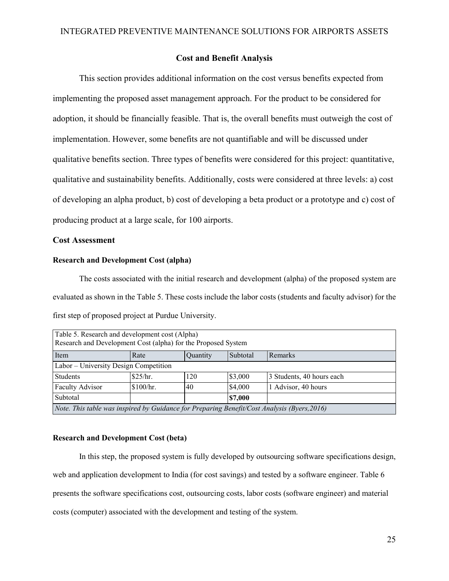### **Cost and Benefit Analysis**

<span id="page-24-0"></span>This section provides additional information on the cost versus benefits expected from implementing the proposed asset management approach. For the product to be considered for adoption, it should be financially feasible. That is, the overall benefits must outweigh the cost of implementation. However, some benefits are not quantifiable and will be discussed under qualitative benefits section. Three types of benefits were considered for this project: quantitative, qualitative and sustainability benefits. Additionally, costs were considered at three levels: a) cost of developing an alpha product, b) cost of developing a beta product or a prototype and c) cost of producing product at a large scale, for 100 airports.

### **Cost Assessment**

### **Research and Development Cost (alpha)**

The costs associated with the initial research and development (alpha) of the proposed system are evaluated as shown in the Table 5. These costs include the labor costs (students and faculty advisor) for the first step of proposed project at Purdue University.

| Table 5. Research and development cost (Alpha)                                              |                                                |     |         |                           |  |  |  |
|---------------------------------------------------------------------------------------------|------------------------------------------------|-----|---------|---------------------------|--|--|--|
| Research and Development Cost (alpha) for the Proposed System                               |                                                |     |         |                           |  |  |  |
| Item                                                                                        | Subtotal<br>Remarks<br>Rate<br><b>Quantity</b> |     |         |                           |  |  |  |
| Labor - University Design Competition                                                       |                                                |     |         |                           |  |  |  |
| Students                                                                                    | \$25/hr.                                       | 120 | \$3,000 | 3 Students, 40 hours each |  |  |  |
| <b>Faculty Advisor</b>                                                                      | \$100/hr.                                      | 40  | \$4,000 | Advisor, 40 hours         |  |  |  |
| Subtotal<br>\$7,000                                                                         |                                                |     |         |                           |  |  |  |
| Note. This table was inspired by Guidance for Preparing Benefit/Cost Analysis (Byers, 2016) |                                                |     |         |                           |  |  |  |

#### **Research and Development Cost (beta)**

In this step, the proposed system is fully developed by outsourcing software specifications design, web and application development to India (for cost savings) and tested by a software engineer. Table 6 presents the software specifications cost, outsourcing costs, labor costs (software engineer) and material costs (computer) associated with the development and testing of the system.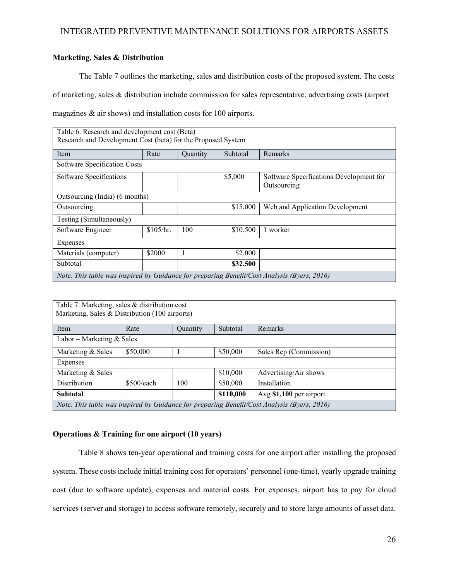### **Marketing, Sales & Distribution**

The Table 7 outlines the marketing, sales and distribution costs of the proposed system. The costs of marketing, sales & distribution include commission for sales representative, advertising costs (airport magazines & air shows) and installation costs for 100 airports.

| Table 6. Research and development cost (Beta)                                                |           |          |          |                                 |  |  |  |
|----------------------------------------------------------------------------------------------|-----------|----------|----------|---------------------------------|--|--|--|
| Research and Development Cost (beta) for the Proposed System                                 |           |          |          |                                 |  |  |  |
| Item                                                                                         | Rate      | Quantity | Subtotal | Remarks                         |  |  |  |
| Software Specification Costs                                                                 |           |          |          |                                 |  |  |  |
| \$5,000<br>Software Specifications<br>Software Specifications Development for<br>Outsourcing |           |          |          |                                 |  |  |  |
| Outsourcing (India) (6 months)                                                               |           |          |          |                                 |  |  |  |
| Outsourcing                                                                                  |           |          | \$15,000 | Web and Application Development |  |  |  |
| Testing (Simultaneously)                                                                     |           |          |          |                                 |  |  |  |
| Software Engineer                                                                            | \$105/hr. | 100      | \$10,500 | 1 worker                        |  |  |  |
| Expenses                                                                                     |           |          |          |                                 |  |  |  |
| Materials (computer)                                                                         | \$2000    | 1        | \$2,000  |                                 |  |  |  |
| Subtotal                                                                                     |           |          | \$32,500 |                                 |  |  |  |
| Note. This table was inspired by Guidance for preparing Benefit/Cost Analysis (Byers, 2016)  |           |          |          |                                 |  |  |  |

| Table 7. Marketing, sales & distribution cost<br>Marketing, Sales & Distribution (100 airports) |                                                |          |          |         |  |  |  |
|-------------------------------------------------------------------------------------------------|------------------------------------------------|----------|----------|---------|--|--|--|
| Item                                                                                            | Rate                                           | Quantity | Subtotal | Remarks |  |  |  |
| Labor – Marketing $&$ Sales                                                                     |                                                |          |          |         |  |  |  |
| Marketing & Sales                                                                               | \$50,000<br>\$50,000<br>Sales Rep (Commission) |          |          |         |  |  |  |
| Expenses                                                                                        |                                                |          |          |         |  |  |  |
| \$10,000<br>Advertising/Air shows<br>Marketing & Sales                                          |                                                |          |          |         |  |  |  |
| <b>Distribution</b><br>\$500/each<br>\$50,000<br>100<br>Installation                            |                                                |          |          |         |  |  |  |
| \$110,000<br>Avg \$1,100 per airport<br><b>Subtotal</b>                                         |                                                |          |          |         |  |  |  |
| Note. This table was inspired by Guidance for preparing Benefit/Cost Analysis (Byers, 2016)     |                                                |          |          |         |  |  |  |

### **Operations & Training for one airport (10 years)**

Table 8 shows ten-year operational and training costs for one airport after installing the proposed system. These costs include initial training cost for operators' personnel (one-time), yearly upgrade training cost (due to software update), expenses and material costs. For expenses, airport has to pay for cloud services (server and storage) to access software remotely, securely and to store large amounts of asset data.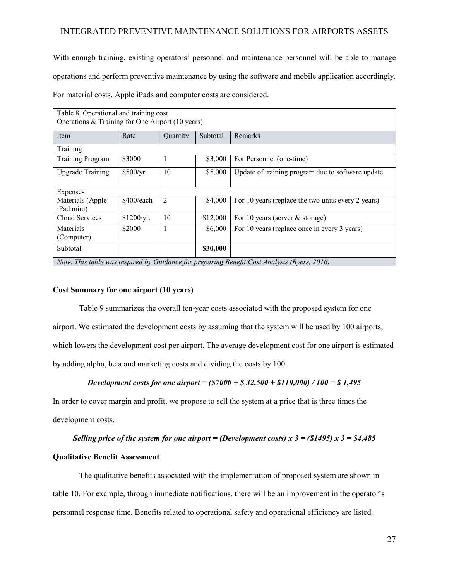With enough training, existing operators' personnel and maintenance personnel will be able to manage operations and perform preventive maintenance by using the software and mobile application accordingly. For material costs, Apple iPads and computer costs are considered.

| Table 8. Operational and training cost<br>Operations & Training for One Airport (10 years)  |            |                |          |                                                    |  |  |  |
|---------------------------------------------------------------------------------------------|------------|----------------|----------|----------------------------------------------------|--|--|--|
| Item                                                                                        | Rate       | Quantity       | Subtotal | Remarks                                            |  |  |  |
| Training                                                                                    |            |                |          |                                                    |  |  |  |
|                                                                                             |            |                |          |                                                    |  |  |  |
| <b>Training Program</b>                                                                     | \$3000     | 1              | \$3,000  | For Personnel (one-time)                           |  |  |  |
| <b>Upgrade Training</b>                                                                     | \$500/yr.  | 10             | \$5,000  | Update of training program due to software update  |  |  |  |
| Expenses                                                                                    |            |                |          |                                                    |  |  |  |
| Materials (Apple<br>iPad mini)                                                              | \$400/each | $\overline{2}$ | \$4,000  | For 10 years (replace the two units every 2 years) |  |  |  |
| Cloud Services                                                                              | \$1200/yr. | 10             | \$12,000 | For 10 years (server $&$ storage)                  |  |  |  |
| Materials<br>(Computer)                                                                     | \$2000     | 1              | \$6,000  | For 10 years (replace once in every 3 years)       |  |  |  |
| Subtotal                                                                                    |            |                | \$30,000 |                                                    |  |  |  |
| Note. This table was inspired by Guidance for preparing Benefit/Cost Analysis (Byers, 2016) |            |                |          |                                                    |  |  |  |

#### **Cost Summary for one airport (10 years)**

Table 9 summarizes the overall ten-year costs associated with the proposed system for one airport. We estimated the development costs by assuming that the system will be used by 100 airports, which lowers the development cost per airport. The average development cost for one airport is estimated by adding alpha, beta and marketing costs and dividing the costs by 100.

### *Development costs for one airport = (\$7000 + \$ 32,500 + \$110,000) / 100 = \$ 1,495*

In order to cover margin and profit, we propose to sell the system at a price that is three times the development costs.

### *Selling price of the system for one airport = (Development costs) x 3 = (\$1495) x 3 = \$4,485*

#### **Qualitative Benefit Assessment**

The qualitative benefits associated with the implementation of proposed system are shown in table 10. For example, through immediate notifications, there will be an improvement in the operator's personnel response time. Benefits related to operational safety and operational efficiency are listed.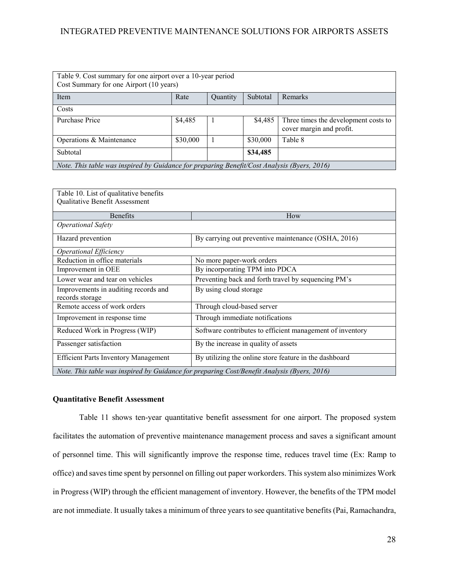| Table 9. Cost summary for one airport over a 10-year period<br>Cost Summary for one Airport (10 years) |          |          |          |                                                                  |  |
|--------------------------------------------------------------------------------------------------------|----------|----------|----------|------------------------------------------------------------------|--|
| Item                                                                                                   | Rate     | Quantity | Subtotal | Remarks                                                          |  |
| Costs                                                                                                  |          |          |          |                                                                  |  |
| Purchase Price                                                                                         | \$4,485  |          | \$4,485  | Three times the development costs to<br>cover margin and profit. |  |
| Operations & Maintenance                                                                               | \$30,000 |          | \$30,000 | Table 8                                                          |  |
| Subtotal                                                                                               |          |          | \$34,485 |                                                                  |  |
| Note. This table was inspired by Guidance for preparing Benefit/Cost Analysis (Byers, 2016)            |          |          |          |                                                                  |  |

| Table 10. List of qualitative benefits                  |                                                                                             |
|---------------------------------------------------------|---------------------------------------------------------------------------------------------|
| Qualitative Benefit Assessment                          |                                                                                             |
|                                                         |                                                                                             |
| <b>Benefits</b>                                         | How                                                                                         |
| <b>Operational Safety</b>                               |                                                                                             |
| Hazard prevention                                       | By carrying out preventive maintenance (OSHA, 2016)                                         |
| <b>Operational Efficiency</b>                           |                                                                                             |
| Reduction in office materials                           | No more paper-work orders                                                                   |
| Improvement in OEE                                      | By incorporating TPM into PDCA                                                              |
| Lower wear and tear on vehicles                         | Preventing back and forth travel by sequencing PM's                                         |
| Improvements in auditing records and<br>records storage | By using cloud storage                                                                      |
| Remote access of work orders                            | Through cloud-based server                                                                  |
| Improvement in response time                            | Through immediate notifications                                                             |
| Reduced Work in Progress (WIP)                          | Software contributes to efficient management of inventory                                   |
| Passenger satisfaction                                  | By the increase in quality of assets                                                        |
| <b>Efficient Parts Inventory Management</b>             | By utilizing the online store feature in the dashboard                                      |
|                                                         | Note. This table was inspired by Guidance for preparing Cost/Benefit Analysis (Byers, 2016) |

#### **Quantitative Benefit Assessment**

Table 11 shows ten-year quantitative benefit assessment for one airport. The proposed system facilitates the automation of preventive maintenance management process and saves a significant amount of personnel time. This will significantly improve the response time, reduces travel time (Ex: Ramp to office) and saves time spent by personnel on filling out paper workorders. This system also minimizes Work in Progress (WIP) through the efficient management of inventory. However, the benefits of the TPM model are not immediate. It usually takes a minimum of three years to see quantitative benefits (Pai, Ramachandra,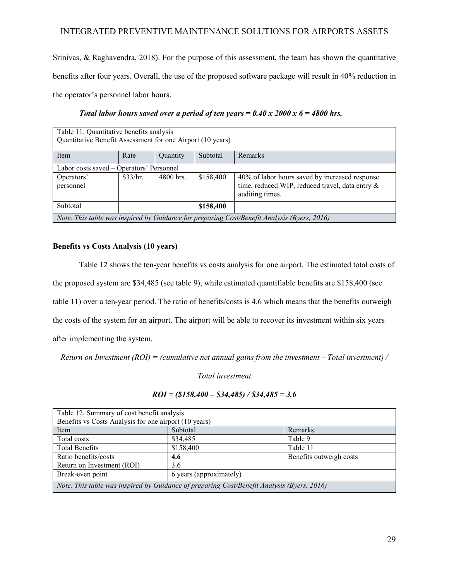Srinivas, & Raghavendra, 2018). For the purpose of this assessment, the team has shown the quantitative benefits after four years. Overall, the use of the proposed software package will result in 40% reduction in the operator's personnel labor hours.

| Table 11. Quantitative benefits analysis                                                    |          |             |           |                                                 |
|---------------------------------------------------------------------------------------------|----------|-------------|-----------|-------------------------------------------------|
| Quantitative Benefit Assessment for one Airport (10 years)                                  |          |             |           |                                                 |
| Item                                                                                        | Rate     | Quantity    | Subtotal  | Remarks                                         |
| Labor costs saved – Operators' Personnel                                                    |          |             |           |                                                 |
| Operators'                                                                                  | \$33/hr. | $4800$ hrs. | \$158,400 | 40% of labor hours saved by increased response  |
| personnel                                                                                   |          |             |           | time, reduced WIP, reduced travel, data entry & |
|                                                                                             |          |             |           | auditing times.                                 |
| Subtotal                                                                                    |          |             | \$158,400 |                                                 |
| Note. This table was inspired by Guidance for preparing Cost/Benefit Analysis (Byers, 2016) |          |             |           |                                                 |

### *Total labor hours saved over a period of ten years = 0.40 x 2000 x 6 = 4800 hrs.*

#### **Benefits vs Costs Analysis (10 years)**

Table 12 shows the ten-year benefits vs costs analysis for one airport. The estimated total costs of the proposed system are \$34,485 (see table 9), while estimated quantifiable benefits are \$158,400 (see table 11) over a ten-year period. The ratio of benefits/costs is 4.6 which means that the benefits outweigh the costs of the system for an airport. The airport will be able to recover its investment within six years after implementing the system.

*Return on Investment (ROI) = (cumulative net annual gains from the investment – Total investment) /* 

*Total investment*

### *ROI = (\$158,400 – \$34,485) / \$34,485 = 3.6*

| Table 12. Summary of cost benefit analysis                                                 |                         |                         |  |  |  |
|--------------------------------------------------------------------------------------------|-------------------------|-------------------------|--|--|--|
| Benefits vs Costs Analysis for one airport (10 years)                                      |                         |                         |  |  |  |
| Item                                                                                       | Subtotal                | Remarks                 |  |  |  |
| Total costs                                                                                | \$34,485                | Table 9                 |  |  |  |
| <b>Total Benefits</b>                                                                      | \$158,400               | Table 11                |  |  |  |
| Ratio benefits/costs                                                                       | 4.6                     | Benefits outweigh costs |  |  |  |
| Return on Investment (ROI)                                                                 | 3.6                     |                         |  |  |  |
| Break-even point                                                                           | 6 years (approximately) |                         |  |  |  |
| Note. This table was inspired by Guidance of preparing Cost/Benefit Analysis (Byers, 2016) |                         |                         |  |  |  |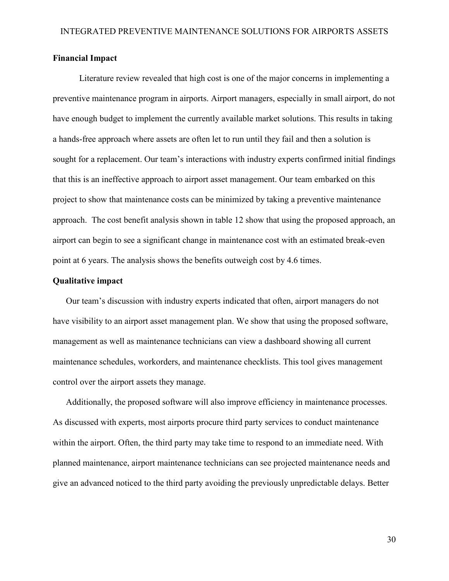### **Financial Impact**

Literature review revealed that high cost is one of the major concerns in implementing a preventive maintenance program in airports. Airport managers, especially in small airport, do not have enough budget to implement the currently available market solutions. This results in taking a hands-free approach where assets are often let to run until they fail and then a solution is sought for a replacement. Our team's interactions with industry experts confirmed initial findings that this is an ineffective approach to airport asset management. Our team embarked on this project to show that maintenance costs can be minimized by taking a preventive maintenance approach. The cost benefit analysis shown in table 12 show that using the proposed approach, an airport can begin to see a significant change in maintenance cost with an estimated break-even point at 6 years. The analysis shows the benefits outweigh cost by 4.6 times.

### **Qualitative impact**

Our team's discussion with industry experts indicated that often, airport managers do not have visibility to an airport asset management plan. We show that using the proposed software, management as well as maintenance technicians can view a dashboard showing all current maintenance schedules, workorders, and maintenance checklists. This tool gives management control over the airport assets they manage.

Additionally, the proposed software will also improve efficiency in maintenance processes. As discussed with experts, most airports procure third party services to conduct maintenance within the airport. Often, the third party may take time to respond to an immediate need. With planned maintenance, airport maintenance technicians can see projected maintenance needs and give an advanced noticed to the third party avoiding the previously unpredictable delays. Better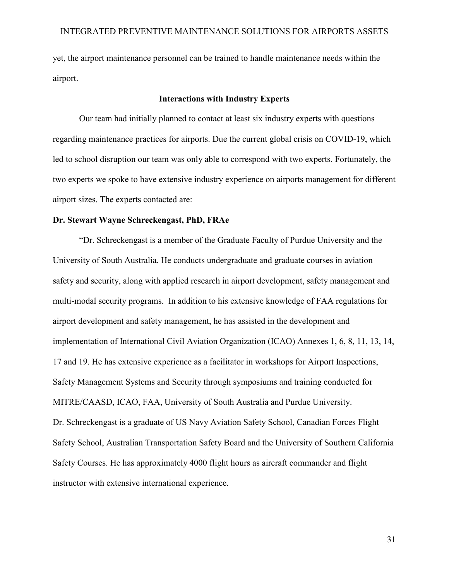yet, the airport maintenance personnel can be trained to handle maintenance needs within the airport.

### **Interactions with Industry Experts**

<span id="page-30-0"></span>Our team had initially planned to contact at least six industry experts with questions regarding maintenance practices for airports. Due the current global crisis on COVID-19, which led to school disruption our team was only able to correspond with two experts. Fortunately, the two experts we spoke to have extensive industry experience on airports management for different airport sizes. The experts contacted are:

#### **Dr. Stewart Wayne Schreckengast, PhD, FRAe**

"Dr. Schreckengast is a member of the Graduate Faculty of Purdue University and the University of South Australia. He conducts undergraduate and graduate courses in aviation safety and security, along with applied research in airport development, safety management and multi-modal security programs. In addition to his extensive knowledge of FAA regulations for airport development and safety management, he has assisted in the development and implementation of International Civil Aviation Organization (ICAO) Annexes 1, 6, 8, 11, 13, 14, 17 and 19. He has extensive experience as a facilitator in workshops for Airport Inspections, Safety Management Systems and Security through symposiums and training conducted for MITRE/CAASD, ICAO, FAA, University of South Australia and Purdue University. Dr. Schreckengast is a graduate of US Navy Aviation Safety School, Canadian Forces Flight Safety School, Australian Transportation Safety Board and the University of Southern California Safety Courses. He has approximately 4000 flight hours as aircraft commander and flight instructor with extensive international experience.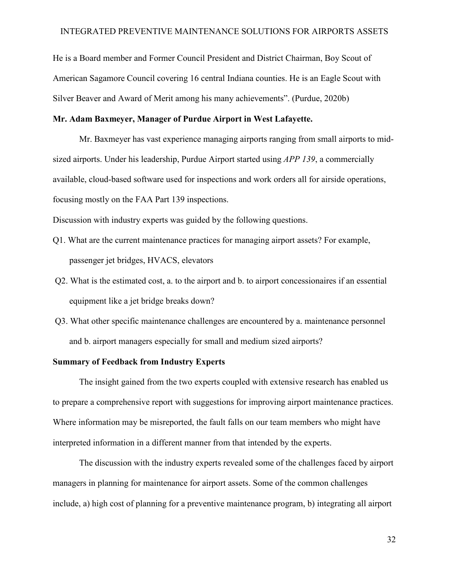He is a Board member and Former Council President and District Chairman, Boy Scout of American Sagamore Council covering 16 central Indiana counties. He is an Eagle Scout with Silver Beaver and Award of Merit among his many achievements". (Purdue, 2020b)

### **Mr. Adam Baxmeyer, Manager of Purdue Airport in West Lafayette.**

Mr. Baxmeyer has vast experience managing airports ranging from small airports to midsized airports. Under his leadership, Purdue Airport started using *APP 139*, a commercially available, cloud-based software used for inspections and work orders all for airside operations, focusing mostly on the FAA Part 139 inspections.

Discussion with industry experts was guided by the following questions.

- Q1. What are the current maintenance practices for managing airport assets? For example, passenger jet bridges, HVACS, elevators
- Q2. What is the estimated cost, a. to the airport and b. to airport concessionaires if an essential equipment like a jet bridge breaks down?
- Q3. What other specific maintenance challenges are encountered by a. maintenance personnel and b. airport managers especially for small and medium sized airports?

### **Summary of Feedback from Industry Experts**

The insight gained from the two experts coupled with extensive research has enabled us to prepare a comprehensive report with suggestions for improving airport maintenance practices. Where information may be misreported, the fault falls on our team members who might have interpreted information in a different manner from that intended by the experts.

The discussion with the industry experts revealed some of the challenges faced by airport managers in planning for maintenance for airport assets. Some of the common challenges include, a) high cost of planning for a preventive maintenance program, b) integrating all airport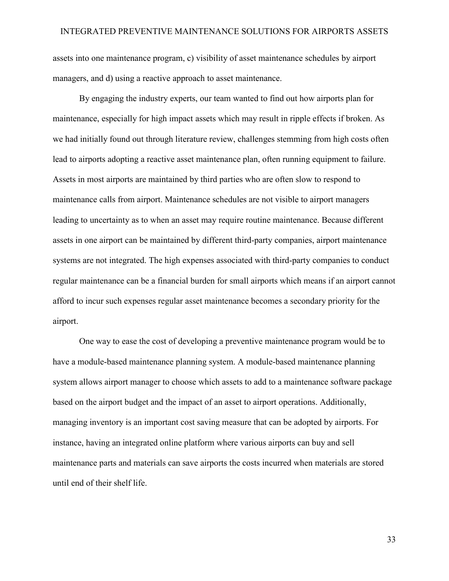assets into one maintenance program, c) visibility of asset maintenance schedules by airport managers, and d) using a reactive approach to asset maintenance.

By engaging the industry experts, our team wanted to find out how airports plan for maintenance, especially for high impact assets which may result in ripple effects if broken. As we had initially found out through literature review, challenges stemming from high costs often lead to airports adopting a reactive asset maintenance plan, often running equipment to failure. Assets in most airports are maintained by third parties who are often slow to respond to maintenance calls from airport. Maintenance schedules are not visible to airport managers leading to uncertainty as to when an asset may require routine maintenance. Because different assets in one airport can be maintained by different third-party companies, airport maintenance systems are not integrated. The high expenses associated with third-party companies to conduct regular maintenance can be a financial burden for small airports which means if an airport cannot afford to incur such expenses regular asset maintenance becomes a secondary priority for the airport.

One way to ease the cost of developing a preventive maintenance program would be to have a module-based maintenance planning system. A module-based maintenance planning system allows airport manager to choose which assets to add to a maintenance software package based on the airport budget and the impact of an asset to airport operations. Additionally, managing inventory is an important cost saving measure that can be adopted by airports. For instance, having an integrated online platform where various airports can buy and sell maintenance parts and materials can save airports the costs incurred when materials are stored until end of their shelf life.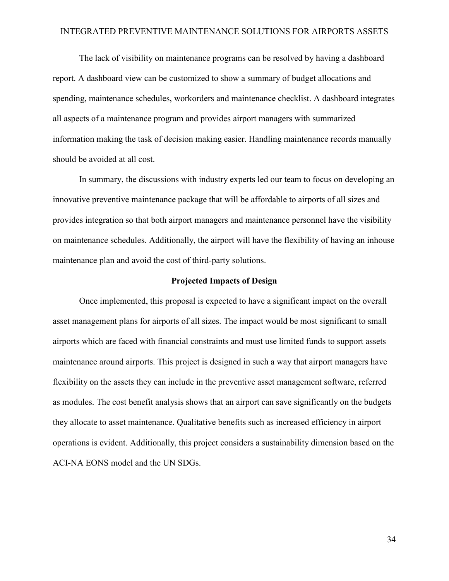The lack of visibility on maintenance programs can be resolved by having a dashboard report. A dashboard view can be customized to show a summary of budget allocations and spending, maintenance schedules, workorders and maintenance checklist. A dashboard integrates all aspects of a maintenance program and provides airport managers with summarized information making the task of decision making easier. Handling maintenance records manually should be avoided at all cost.

In summary, the discussions with industry experts led our team to focus on developing an innovative preventive maintenance package that will be affordable to airports of all sizes and provides integration so that both airport managers and maintenance personnel have the visibility on maintenance schedules. Additionally, the airport will have the flexibility of having an inhouse maintenance plan and avoid the cost of third-party solutions.

#### **Projected Impacts of Design**

<span id="page-33-0"></span>Once implemented, this proposal is expected to have a significant impact on the overall asset management plans for airports of all sizes. The impact would be most significant to small airports which are faced with financial constraints and must use limited funds to support assets maintenance around airports. This project is designed in such a way that airport managers have flexibility on the assets they can include in the preventive asset management software, referred as modules. The cost benefit analysis shows that an airport can save significantly on the budgets they allocate to asset maintenance. Qualitative benefits such as increased efficiency in airport operations is evident. Additionally, this project considers a sustainability dimension based on the ACI-NA EONS model and the UN SDGs.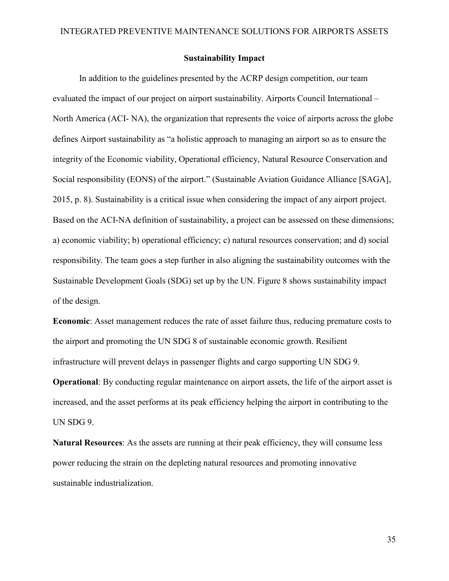### **Sustainability Impact**

<span id="page-34-0"></span>In addition to the guidelines presented by the ACRP design competition, our team evaluated the impact of our project on airport sustainability. Airports Council International – North America (ACI- NA), the organization that represents the voice of airports across the globe defines Airport sustainability as "a holistic approach to managing an airport so as to ensure the integrity of the Economic viability, Operational efficiency, Natural Resource Conservation and Social responsibility (EONS) of the airport." (Sustainable Aviation Guidance Alliance [SAGA], 2015, p. 8). Sustainability is a critical issue when considering the impact of any airport project. Based on the ACI-NA definition of sustainability, a project can be assessed on these dimensions; a) economic viability; b) operational efficiency; c) natural resources conservation; and d) social responsibility. The team goes a step further in also aligning the sustainability outcomes with the Sustainable Development Goals (SDG) set up by the UN. Figure 8 shows sustainability impact of the design.

**Economic**: Asset management reduces the rate of asset failure thus, reducing premature costs to the airport and promoting the UN SDG 8 of sustainable economic growth. Resilient infrastructure will prevent delays in passenger flights and cargo supporting UN SDG 9.

**Operational**: By conducting regular maintenance on airport assets, the life of the airport asset is increased, and the asset performs at its peak efficiency helping the airport in contributing to the UN SDG 9.

**Natural Resources**: As the assets are running at their peak efficiency, they will consume less power reducing the strain on the depleting natural resources and promoting innovative sustainable industrialization.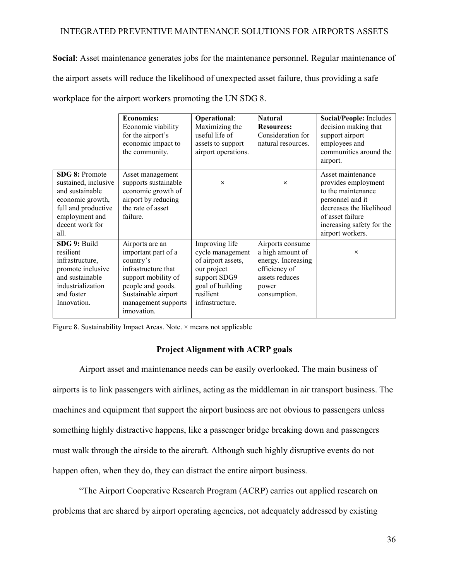**Social**: Asset maintenance generates jobs for the maintenance personnel. Regular maintenance of the airport assets will reduce the likelihood of unexpected asset failure, thus providing a safe workplace for the airport workers promoting the UN SDG 8.

|                                                                                                                                                          | <b>Economics:</b><br>Economic viability<br>for the airport's<br>economic impact to<br>the community.                                                                                | <b>Operational:</b><br>Maximizing the<br>useful life of<br>assets to support<br>airport operations.                                         | <b>Natural</b><br><b>Resources:</b><br>Consideration for<br>natural resources.                                         | Social/People: Includes<br>decision making that<br>support airport<br>employees and<br>communities around the<br>airport.                                                           |
|----------------------------------------------------------------------------------------------------------------------------------------------------------|-------------------------------------------------------------------------------------------------------------------------------------------------------------------------------------|---------------------------------------------------------------------------------------------------------------------------------------------|------------------------------------------------------------------------------------------------------------------------|-------------------------------------------------------------------------------------------------------------------------------------------------------------------------------------|
| <b>SDG 8: Promote</b><br>sustained, inclusive<br>and sustainable<br>economic growth,<br>full and productive<br>employment and<br>decent work for<br>all. | Asset management<br>supports sustainable<br>economic growth of<br>airport by reducing<br>the rate of asset<br>failure.                                                              | $\times$                                                                                                                                    | $\times$                                                                                                               | Asset maintenance<br>provides employment<br>to the maintenance<br>personnel and it<br>decreases the likelihood<br>of asset failure<br>increasing safety for the<br>airport workers. |
| SDG 9: Build<br>resilient<br>infrastructure,<br>promote inclusive<br>and sustainable<br>industrialization<br>and foster<br>Innovation.                   | Airports are an<br>important part of a<br>country's<br>infrastructure that<br>support mobility of<br>people and goods.<br>Sustainable airport<br>management supports<br>innovation. | Improving life<br>cycle management<br>of airport assets,<br>our project<br>support SDG9<br>goal of building<br>resilient<br>infrastructure. | Airports consume<br>a high amount of<br>energy. Increasing<br>efficiency of<br>assets reduces<br>power<br>consumption. | $\times$                                                                                                                                                                            |

Figure 8. Sustainability Impact Areas. Note. × means not applicable

### **Project Alignment with ACRP goals**

<span id="page-35-0"></span>Airport asset and maintenance needs can be easily overlooked. The main business of airports is to link passengers with airlines, acting as the middleman in air transport business. The machines and equipment that support the airport business are not obvious to passengers unless something highly distractive happens, like a passenger bridge breaking down and passengers must walk through the airside to the aircraft. Although such highly disruptive events do not happen often, when they do, they can distract the entire airport business.

"The Airport Cooperative Research Program (ACRP) carries out applied research on problems that are shared by airport operating agencies, not adequately addressed by existing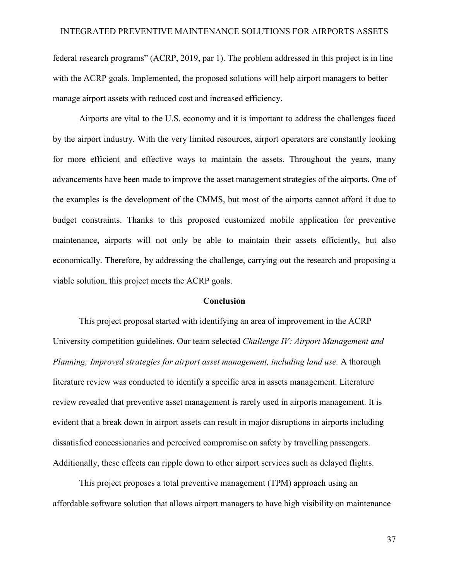federal research programs" (ACRP, 2019, par 1). The problem addressed in this project is in line with the ACRP goals. Implemented, the proposed solutions will help airport managers to better manage airport assets with reduced cost and increased efficiency.

Airports are vital to the U.S. economy and it is important to address the challenges faced by the airport industry. With the very limited resources, airport operators are constantly looking for more efficient and effective ways to maintain the assets. Throughout the years, many advancements have been made to improve the asset management strategies of the airports. One of the examples is the development of the CMMS, but most of the airports cannot afford it due to budget constraints. Thanks to this proposed customized mobile application for preventive maintenance, airports will not only be able to maintain their assets efficiently, but also economically. Therefore, by addressing the challenge, carrying out the research and proposing a viable solution, this project meets the ACRP goals.

#### **Conclusion**

<span id="page-36-0"></span>This project proposal started with identifying an area of improvement in the ACRP University competition guidelines. Our team selected *Challenge IV: Airport Management and Planning; Improved strategies for airport asset management, including land use.* A thorough literature review was conducted to identify a specific area in assets management. Literature review revealed that preventive asset management is rarely used in airports management. It is evident that a break down in airport assets can result in major disruptions in airports including dissatisfied concessionaries and perceived compromise on safety by travelling passengers. Additionally, these effects can ripple down to other airport services such as delayed flights.

This project proposes a total preventive management (TPM) approach using an affordable software solution that allows airport managers to have high visibility on maintenance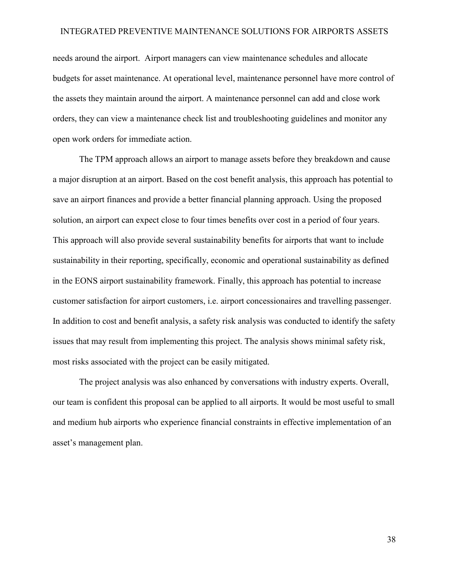needs around the airport. Airport managers can view maintenance schedules and allocate budgets for asset maintenance. At operational level, maintenance personnel have more control of the assets they maintain around the airport. A maintenance personnel can add and close work orders, they can view a maintenance check list and troubleshooting guidelines and monitor any open work orders for immediate action.

The TPM approach allows an airport to manage assets before they breakdown and cause a major disruption at an airport. Based on the cost benefit analysis, this approach has potential to save an airport finances and provide a better financial planning approach. Using the proposed solution, an airport can expect close to four times benefits over cost in a period of four years. This approach will also provide several sustainability benefits for airports that want to include sustainability in their reporting, specifically, economic and operational sustainability as defined in the EONS airport sustainability framework. Finally, this approach has potential to increase customer satisfaction for airport customers, i.e. airport concessionaires and travelling passenger. In addition to cost and benefit analysis, a safety risk analysis was conducted to identify the safety issues that may result from implementing this project. The analysis shows minimal safety risk, most risks associated with the project can be easily mitigated.

The project analysis was also enhanced by conversations with industry experts. Overall, our team is confident this proposal can be applied to all airports. It would be most useful to small and medium hub airports who experience financial constraints in effective implementation of an asset's management plan.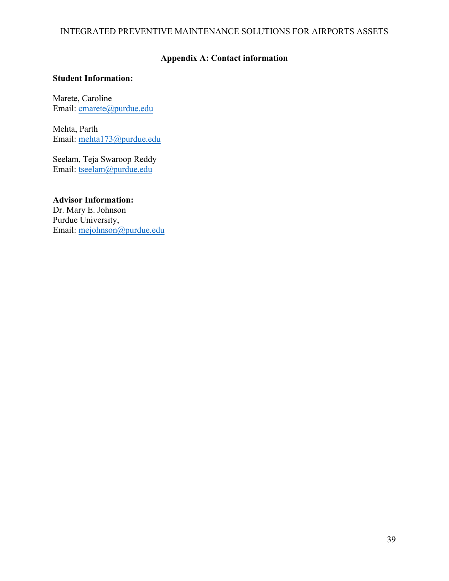## **Appendix A: Contact information**

### <span id="page-38-0"></span>**Student Information:**

Marete, Caroline Email: cmarete@purdue.edu

Mehta, Parth Email: [mehta173@purdue.ed](mailto:cmarete@purdue.edu)u

Seelam, Teja Swaroop Reddy Email: tseelam@purdue.edu

**Advisor Information:** Dr. M[ary E. Johnson](mailto:mehta173@purdue.edu)  Purdue University, Email: mejohnson@purdue.edu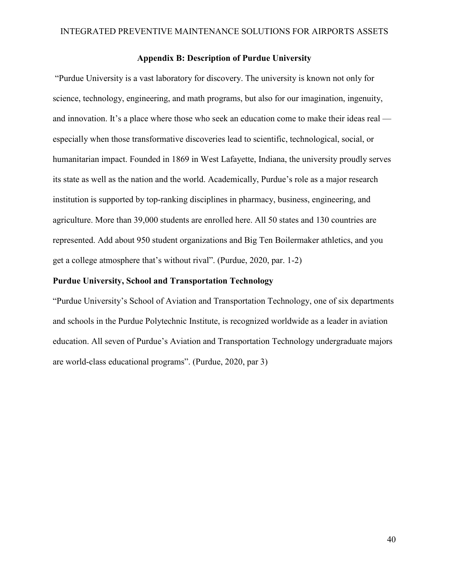### **Appendix B: Description of Purdue University**

<span id="page-39-0"></span> "Purdue University is a vast laboratory for discovery. The university is known not only for science, technology, engineering, and math programs, but also for our imagination, ingenuity, and innovation. It's a place where those who seek an education come to make their ideas real especially when those transformative discoveries lead to scientific, technological, social, or humanitarian impact. Founded in 1869 in West Lafayette, Indiana, the university proudly serves its state as well as the nation and the world. Academically, Purdue's role as a major research institution is supported by top-ranking disciplines in pharmacy, business, engineering, and agriculture. More than 39,000 students are enrolled here. All 50 states and 130 countries are represented. Add about 950 student organizations and Big Ten Boilermaker athletics, and you get a college atmosphere that's without rival". (Purdue, 2020, par. 1-2)

### **Purdue University, School and Transportation Technology**

"Purdue University's School of Aviation and Transportation Technology, one of six departments and schools in the Purdue Polytechnic Institute, is recognized worldwide as a leader in aviation education. All seven of Purdue's Aviation and Transportation Technology undergraduate majors are world-class educational programs". (Purdue, 2020, par 3)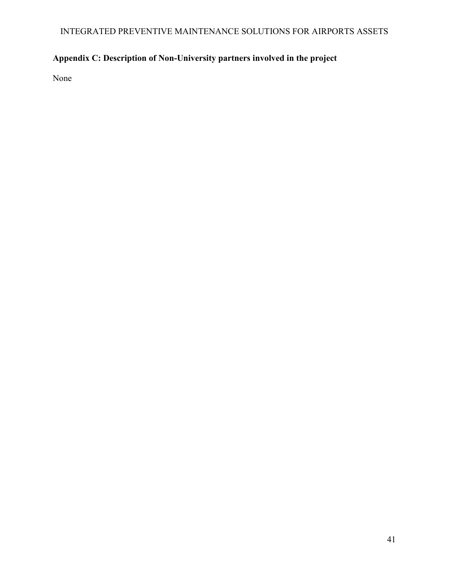# <span id="page-40-0"></span>**Appendix C: Description of Non-University partners involved in the project**

None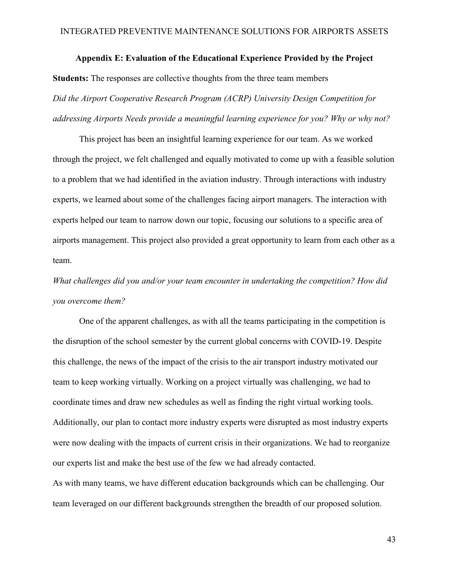### **Appendix E: Evaluation of the Educational Experience Provided by the Project**

<span id="page-41-0"></span>**Students:** The responses are collective thoughts from the three team members *Did the Airport Cooperative Research Program (ACRP) University Design Competition for addressing Airports Needs provide a meaningful learning experience for you? Why or why not?*

This project has been an insightful learning experience for our team. As we worked through the project, we felt challenged and equally motivated to come up with a feasible solution to a problem that we had identified in the aviation industry. Through interactions with industry experts, we learned about some of the challenges facing airport managers. The interaction with experts helped our team to narrow down our topic, focusing our solutions to a specific area of airports management. This project also provided a great opportunity to learn from each other as a team.

*What challenges did you and/or your team encounter in undertaking the competition? How did you overcome them?*

One of the apparent challenges, as with all the teams participating in the competition is the disruption of the school semester by the current global concerns with COVID-19. Despite this challenge, the news of the impact of the crisis to the air transport industry motivated our team to keep working virtually. Working on a project virtually was challenging, we had to coordinate times and draw new schedules as well as finding the right virtual working tools. Additionally, our plan to contact more industry experts were disrupted as most industry experts were now dealing with the impacts of current crisis in their organizations. We had to reorganize our experts list and make the best use of the few we had already contacted.

As with many teams, we have different education backgrounds which can be challenging. Our team leveraged on our different backgrounds strengthen the breadth of our proposed solution.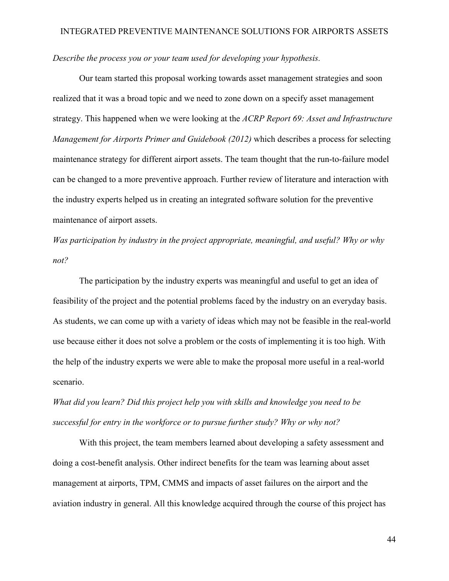### *Describe the process you or your team used for developing your hypothesis.*

Our team started this proposal working towards asset management strategies and soon realized that it was a broad topic and we need to zone down on a specify asset management strategy. This happened when we were looking at the *ACRP Report 69: Asset and Infrastructure Management for Airports Primer and Guidebook (2012)* which describes a process for selecting maintenance strategy for different airport assets. The team thought that the run-to-failure model can be changed to a more preventive approach. Further review of literature and interaction with the industry experts helped us in creating an integrated software solution for the preventive maintenance of airport assets.

*Was participation by industry in the project appropriate, meaningful, and useful? Why or why not?*

The participation by the industry experts was meaningful and useful to get an idea of feasibility of the project and the potential problems faced by the industry on an everyday basis. As students, we can come up with a variety of ideas which may not be feasible in the real-world use because either it does not solve a problem or the costs of implementing it is too high. With the help of the industry experts we were able to make the proposal more useful in a real-world scenario.

*What did you learn? Did this project help you with skills and knowledge you need to be successful for entry in the workforce or to pursue further study? Why or why not?*

With this project, the team members learned about developing a safety assessment and doing a cost-benefit analysis. Other indirect benefits for the team was learning about asset management at airports, TPM, CMMS and impacts of asset failures on the airport and the aviation industry in general. All this knowledge acquired through the course of this project has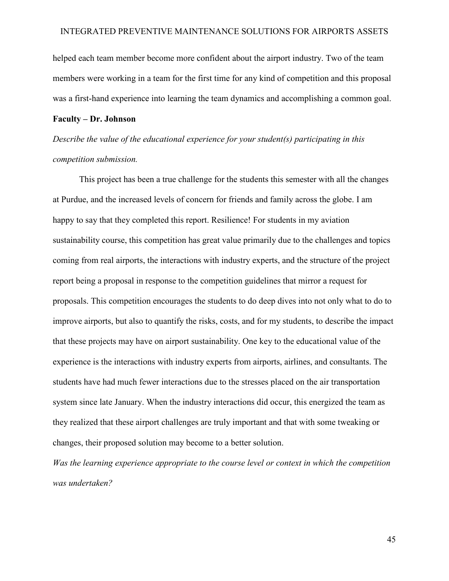helped each team member become more confident about the airport industry. Two of the team members were working in a team for the first time for any kind of competition and this proposal was a first-hand experience into learning the team dynamics and accomplishing a common goal.

#### **Faculty – Dr. Johnson**

*Describe the value of the educational experience for your student(s) participating in this competition submission.* 

This project has been a true challenge for the students this semester with all the changes at Purdue, and the increased levels of concern for friends and family across the globe. I am happy to say that they completed this report. Resilience! For students in my aviation sustainability course, this competition has great value primarily due to the challenges and topics coming from real airports, the interactions with industry experts, and the structure of the project report being a proposal in response to the competition guidelines that mirror a request for proposals. This competition encourages the students to do deep dives into not only what to do to improve airports, but also to quantify the risks, costs, and for my students, to describe the impact that these projects may have on airport sustainability. One key to the educational value of the experience is the interactions with industry experts from airports, airlines, and consultants. The students have had much fewer interactions due to the stresses placed on the air transportation system since late January. When the industry interactions did occur, this energized the team as they realized that these airport challenges are truly important and that with some tweaking or changes, their proposed solution may become to a better solution.

*Was the learning experience appropriate to the course level or context in which the competition was undertaken?*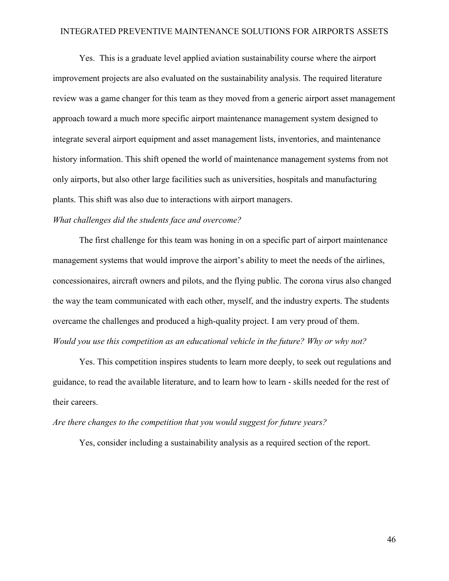Yes. This is a graduate level applied aviation sustainability course where the airport improvement projects are also evaluated on the sustainability analysis. The required literature review was a game changer for this team as they moved from a generic airport asset management approach toward a much more specific airport maintenance management system designed to integrate several airport equipment and asset management lists, inventories, and maintenance history information. This shift opened the world of maintenance management systems from not only airports, but also other large facilities such as universities, hospitals and manufacturing plants. This shift was also due to interactions with airport managers.

### *What challenges did the students face and overcome?*

The first challenge for this team was honing in on a specific part of airport maintenance management systems that would improve the airport's ability to meet the needs of the airlines, concessionaires, aircraft owners and pilots, and the flying public. The corona virus also changed the way the team communicated with each other, myself, and the industry experts. The students overcame the challenges and produced a high-quality project. I am very proud of them. *Would you use this competition as an educational vehicle in the future? Why or why not?* 

Yes. This competition inspires students to learn more deeply, to seek out regulations and guidance, to read the available literature, and to learn how to learn - skills needed for the rest of their careers.

#### *Are there changes to the competition that you would suggest for future years?*

Yes, consider including a sustainability analysis as a required section of the report.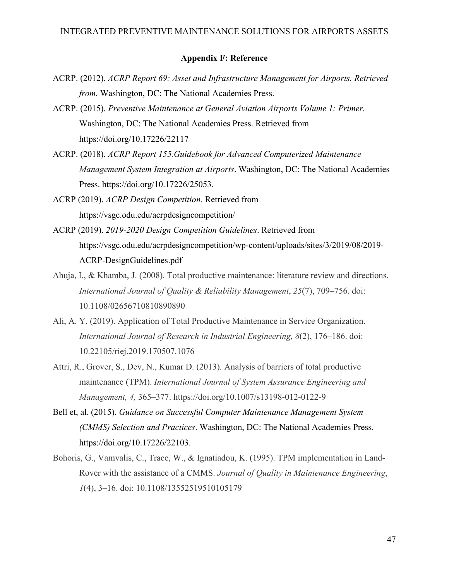### **Appendix F: Reference**

- <span id="page-45-0"></span>ACRP. (2012). *ACRP Report 69: Asset and Infrastructure Management for Airports. Retrieved from.* Washington, DC: The National Academies Press.
- ACRP. (2015). *Preventive Maintenance at General Aviation Airports Volume 1: Primer.* Washington, DC: The National Academies Press. Retrieved from <https://doi.org/10.17226/22117>
- ACRP. (2018). *ACRP Report 155.Guidebook for Advanced Computerized Maintenance Management System Integration at Airports*. Washington, DC: The National Academies Press. https://doi.org/10.17226/25053.
- ACRP (2019). *ACRP Design Competition*. Retrieved from https://vsgc.odu.edu/acrpdesigncompetition/
- ACRP (2019). *2019-2020 Design Competition Guidelines*. Retrieved from https://vsgc.odu.edu/acrpdesigncompetition/wp-content/uploads/sites/3/2019/08/2019- ACRP-DesignGuidelines.pdf
- Ahuja, I., & Khamba, J. (2008). Total productive maintenance: literature review and directions. *International Journal of Quality & Reliability Management*, *25*(7), 709–756. doi: 10.1108/02656710810890890
- Ali, A. Y. (2019). Application of Total Productive Maintenance in Service Organization. *International Journal of Research in Industrial Engineering, 8*(2), 176–186. doi: 10.22105/riej.2019.170507.1076
- Attri, R., Grover, S., Dev, N., Kumar D. (2013)*.* Analysis of barriers of total productive maintenance (TPM). *International Journal of System Assurance Engineering and Management, 4,* 365–377.<https://doi.org/10.1007/s13198-012-0122-9>
- Bell et, al. (2015). *Guidance on Successful Computer Maintenance Management System (CMMS) Selection and Practices*. Washington, DC: The National Academies Press. https://doi.org/10.17226/22103.
- Bohoris, G., Vamvalis, C., Trace, W., & Ignatiadou, K. (1995). TPM implementation in Land‐ Rover with the assistance of a CMMS. *Journal of Quality in Maintenance Engineering*, *1*(4), 3–16. doi: 10.1108/13552519510105179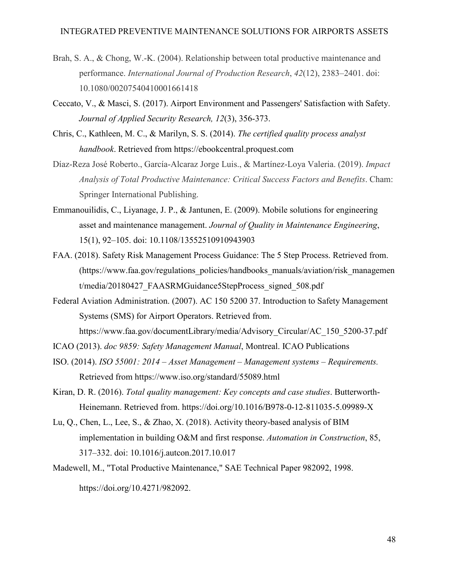- Brah, S. A., & Chong, W.-K. (2004). Relationship between total productive maintenance and performance. *International Journal of Production Research*, *42*(12), 2383–2401. doi: 10.1080/00207540410001661418
- Ceccato, V., & Masci, S. (2017). Airport Environment and Passengers' Satisfaction with Safety. *Journal of Applied Security Research, 12*(3), 356-373.
- Chris, C., Kathleen, M. C., & Marilyn, S. S. (2014). *The certified quality process analyst handbook*. Retrieved from https://ebookcentral.proquest.com
- Díaz-Reza José Roberto., García-Alcaraz Jorge Luis., & Martínez-Loya Valeria. (2019). *Impact Analysis of Total Productive Maintenance: Critical Success Factors and Benefits*. Cham: Springer International Publishing.
- Emmanouilidis, C., Liyanage, J. P., & Jantunen, E. (2009). Mobile solutions for engineering asset and maintenance management. *Journal of Quality in Maintenance Engineering*, 15(1), 92–105. doi: 10.1108/13552510910943903
- FAA. (2018). Safety Risk Management Process Guidance: The 5 Step Process. Retrieved from. (https://www.faa.gov/regulations\_policies/handbooks\_manuals/aviation/risk\_managemen t/media/20180427\_FAASRMGuidance5StepProcess\_signed\_508.pdf
- Federal Aviation Administration. (2007). AC 150 5200 37. Introduction to Safety Management Systems (SMS) for Airport Operators. Retrieved from. https://www.faa.gov/documentLibrary/media/Advisory\_Circular/AC\_150\_5200-37.pdf
- ICAO (2013). *doc 9859: Safety Management Manual*, Montreal. ICAO Publications
- ISO. (2014). *ISO 55001: 2014 – Asset Management – Management systems – Requirements.* Retrieved from https://www.iso.org/standard/55089.html
- Kiran, D. R. (2016). *Total quality management: Key concepts and case studies*. Butterworth-Heinemann. Retrieved from. https://doi.org/10.1016/B978-0-12-811035-5.09989-X
- Lu, Q., Chen, L., Lee, S., & Zhao, X. (2018). Activity theory-based analysis of BIM implementation in building O&M and first response. *Automation in Construction*, 85, 317–332. doi: 10.1016/j.autcon.2017.10.017
- Madewell, M., "Total Productive Maintenance," SAE Technical Paper 982092, 1998. https://doi.org/10.4271/982092.